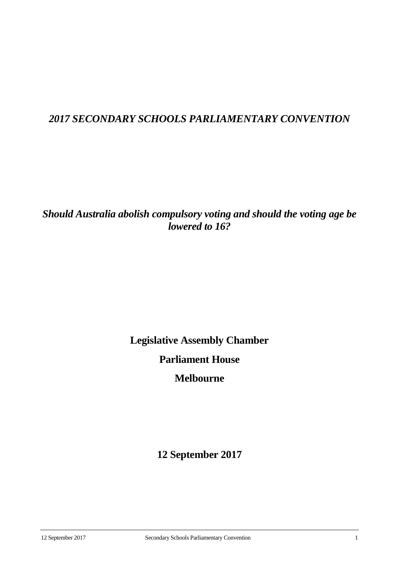## *2017 SECONDARY SCHOOLS PARLIAMENTARY CONVENTION*

## *Should Australia abolish compulsory voting and should the voting age be lowered to 16?*

**Legislative Assembly Chamber**

# **Parliament House**

## **Melbourne**

**12 September 2017**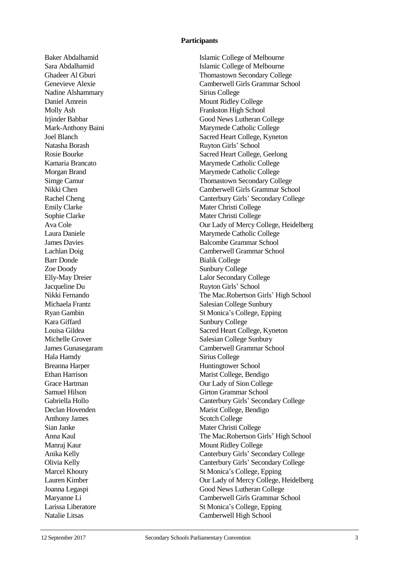#### **Participants**

Nadine Alshammary Sirius College Daniel Amrein Mount Ridley College Natasha Borash Ruyton Girls' School Emily Clarke Mater Christi College Sophie Clarke Mater Christi College Barr Donde Bialik College Zoe Doody Sunbury College Jacqueline Du Ruyton Girls' School Kara Giffard Sunbury College Hala Hamdy Sirius College Breanna Harper Huntingtower School Anthony James Scotch College Sian Janke Mater Christi College Manraj Kaur Mount Ridley College

Baker Abdalhamid Islamic College of Melbourne Sara Abdalhamid Islamic College of Melbourne Ghadeer Al Gburi Thomastown Secondary College Genevieve Alexie Camberwell Girls Grammar School Molly Ash Frankston High School Irjinder Babbar Good News Lutheran College Mark-Anthony Baini Marymede Catholic College Joel Blanch Sacred Heart College, Kyneton Rosie Bourke Sacred Heart College, Geelong Kamaria Brancato Marymede Catholic College Morgan Brand Marymede Catholic College Simge Camur Thomastown Secondary College Nikki Chen Camberwell Girls Grammar School Rachel Cheng Canterbury Girls' Secondary College Ava Cole Our Lady of Mercy College, Heidelberg Laura Daniele Marymede Catholic College **James Davies** Balcombe Grammar School Lachlan Doig Camberwell Grammar School Elly-May Dreier Lalor Secondary College Nikki Fernando The Mac.Robertson Girls' High School Michaela Frantz Salesian College Sunbury Ryan Gambin St Monica's College, Epping Louisa Gildea Sacred Heart College, Kyneton Michelle Grover Salesian College Sunbury James Gunasegaram Camberwell Grammar School Ethan Harrison Marist College, Bendigo Grace Hartman **Our Lady of Sion College** Samuel Hilson Girton Grammar School Gabriella Hollo Canterbury Girls' Secondary College Declan Hovenden Marist College, Bendigo Anna Kaul The Mac.Robertson Girls' High School Anika Kelly Canterbury Girls' Secondary College Olivia Kelly Canterbury Girls' Secondary College Marcel Khoury St Monica's College, Epping Lauren Kimber Our Lady of Mercy College, Heidelberg Joanna Legaspi Good News Lutheran College Maryanne Li Camberwell Girls Grammar School Larissa Liberatore St Monica's College, Epping Natalie Litsas Camberwell High School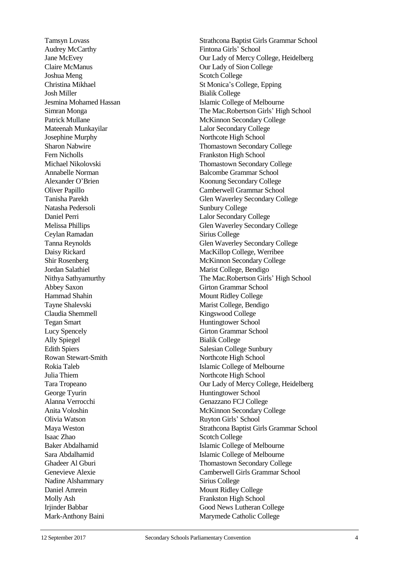Audrey McCarthy Fintona Girls' School Claire McManus Our Lady of Sion College Joshua Meng Scotch College Josh Miller Bialik College Mateenah Munkayilar Lalor Secondary College Josephine Murphy Northcote High School Fern Nicholls Frankston High School Natasha Pedersoli Sunbury College Daniel Perri Lalor Secondary College Ceylan Ramadan Sirius College Jordan Salathiel Marist College, Bendigo Abbey Saxon Girton Grammar School Hammad Shahin Mount Ridley College Tayne Shalevski Marist College, Bendigo Claudia Shemmell Kingswood College Tegan Smart Huntingtower School Lucy Spencely Girton Grammar School Ally Spiegel Bialik College Edith Spiers Salesian College Sunbury Rowan Stewart-Smith Northcote High School Julia Thiem Northcote High School George Tyurin Huntingtower School Alanna Verrocchi Genazzano FCJ College Olivia Watson Ruyton Girls' School Isaac Zhao Scotch College Nadine Alshammary Sirius College Daniel Amrein Mount Ridley College Molly Ash Frankston High School Mark-Anthony Baini Marymede Catholic College

Tamsyn Lovass Strathcona Baptist Girls Grammar School Jane McEvey Our Lady of Mercy College, Heidelberg Christina Mikhael St Monica's College, Epping Jesmina Mohamed Hassan Islamic College of Melbourne Simran Monga The Mac.Robertson Girls' High School Patrick Mullane McKinnon Secondary College Sharon Nabwire Thomastown Secondary College Michael Nikolovski Thomastown Secondary College Annabelle Norman Balcombe Grammar School Alexander O'Brien Koonung Secondary College Oliver Papillo Camberwell Grammar School Tanisha Parekh Glen Waverley Secondary College Melissa Phillips Glen Waverley Secondary College Tanna Reynolds Glen Waverley Secondary College Daisy Rickard MacKillop College, Werribee Shir Rosenberg McKinnon Secondary College Nithya Sathyamurthy The Mac.Robertson Girls' High School Rokia Taleb **Islamic College of Melbourne** Tara Tropeano Our Lady of Mercy College, Heidelberg Anita Voloshin McKinnon Secondary College Maya Weston Strathcona Baptist Girls Grammar School Baker Abdalhamid Islamic College of Melbourne Sara Abdalhamid Islamic College of Melbourne Ghadeer Al Gburi Thomastown Secondary College Genevieve Alexie Camberwell Girls Grammar School Irjinder Babbar Good News Lutheran College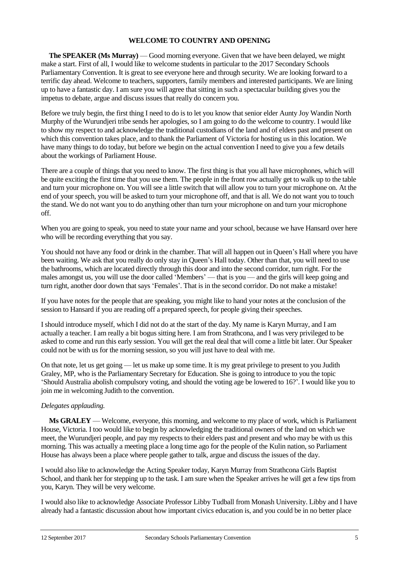## **WELCOME TO COUNTRY AND OPENING**

**The SPEAKER (Ms Murray)** — Good morning everyone. Given that we have been delayed, we might make a start. First of all, I would like to welcome students in particular to the 2017 Secondary Schools Parliamentary Convention. It is great to see everyone here and through security. We are looking forward to a terrific day ahead. Welcome to teachers, supporters, family members and interested participants. We are lining up to have a fantastic day. I am sure you will agree that sitting in such a spectacular building gives you the impetus to debate, argue and discuss issues that really do concern you.

Before we truly begin, the first thing I need to do is to let you know that senior elder Aunty Joy Wandin North Murphy of the Wurundjeri tribe sends her apologies, so I am going to do the welcome to country. I would like to show my respect to and acknowledge the traditional custodians of the land and of elders past and present on which this convention takes place, and to thank the Parliament of Victoria for hosting us in this location. We have many things to do today, but before we begin on the actual convention I need to give you a few details about the workings of Parliament House.

There are a couple of things that you need to know. The first thing is that you all have microphones, which will be quite exciting the first time that you use them. The people in the front row actually get to walk up to the table and turn your microphone on. You will see a little switch that will allow you to turn your microphone on. At the end of your speech, you will be asked to turn your microphone off, and that is all. We do not want you to touch the stand. We do not want you to do anything other than turn your microphone on and turn your microphone off.

When you are going to speak, you need to state your name and your school, because we have Hansard over here who will be recording everything that you say.

You should not have any food or drink in the chamber. That will all happen out in Queen's Hall where you have been waiting. We ask that you really do only stay in Queen's Hall today. Other than that, you will need to use the bathrooms, which are located directly through this door and into the second corridor, turn right. For the males amongst us, you will use the door called 'Members' — that is you — and the girls will keep going and turn right, another door down that says 'Females'. That is in the second corridor. Do not make a mistake!

If you have notes for the people that are speaking, you might like to hand your notes at the conclusion of the session to Hansard if you are reading off a prepared speech, for people giving their speeches.

I should introduce myself, which I did not do at the start of the day. My name is Karyn Murray, and I am actually a teacher. I am really a bit bogus sitting here. I am from Strathcona, and I was very privileged to be asked to come and run this early session. You will get the real deal that will come a little bit later. Our Speaker could not be with us for the morning session, so you will just have to deal with me.

On that note, let us get going — let us make up some time. It is my great privilege to present to you Judith Graley, MP, who is the Parliamentary Secretary for Education. She is going to introduce to you the topic 'Should Australia abolish compulsory voting, and should the voting age be lowered to 16?'. I would like you to join me in welcoming Judith to the convention.

#### *Delegates applauding.*

**Ms GRALEY** — Welcome, everyone, this morning, and welcome to my place of work, which is Parliament House, Victoria. I too would like to begin by acknowledging the traditional owners of the land on which we meet, the Wurundjeri people, and pay my respects to their elders past and present and who may be with us this morning. This was actually a meeting place a long time ago for the people of the Kulin nation, so Parliament House has always been a place where people gather to talk, argue and discuss the issues of the day.

I would also like to acknowledge the Acting Speaker today, Karyn Murray from Strathcona Girls Baptist School, and thank her for stepping up to the task. I am sure when the Speaker arrives he will get a few tips from you, Karyn. They will be very welcome.

I would also like to acknowledge Associate Professor Libby Tudball from Monash University. Libby and I have already had a fantastic discussion about how important civics education is, and you could be in no better place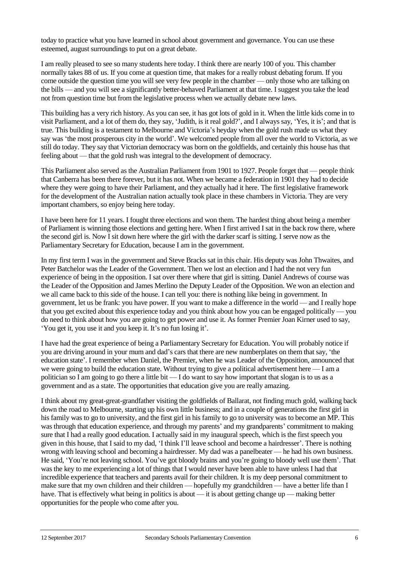today to practice what you have learned in school about government and governance. You can use these esteemed, august surroundings to put on a great debate.

I am really pleased to see so many students here today. I think there are nearly 100 of you. This chamber normally takes 88 of us. If you come at question time, that makes for a really robust debating forum. If you come outside the question time you will see very few people in the chamber — only those who are talking on the bills — and you will see a significantly better-behaved Parliament at that time. I suggest you take the lead not from question time but from the legislative process when we actually debate new laws.

This building has a very rich history. As you can see, it has got lots of gold in it. When the little kids come in to visit Parliament, and a lot of them do, they say, 'Judith, is it real gold?', and I always say, 'Yes, it is'; and that is true. This building is a testament to Melbourne and Victoria's heyday when the gold rush made us what they say was 'the most prosperous city in the world'. We welcomed people from all over the world to Victoria, as we still do today. They say that Victorian democracy was born on the goldfields, and certainly this house has that feeling about — that the gold rush was integral to the development of democracy.

This Parliament also served as the Australian Parliament from 1901 to 1927. People forget that — people think that Canberra has been there forever, but it has not. When we became a federation in 1901 they had to decide where they were going to have their Parliament, and they actually had it here. The first legislative framework for the development of the Australian nation actually took place in these chambers in Victoria. They are very important chambers, so enjoy being here today.

I have been here for 11 years. I fought three elections and won them. The hardest thing about being a member of Parliament is winning those elections and getting here. When I first arrived I sat in the back row there, where the second girl is. Now I sit down here where the girl with the darker scarf is sitting. I serve now as the Parliamentary Secretary for Education, because I am in the government.

In my first term I was in the government and Steve Bracks sat in this chair. His deputy was John Thwaites, and Peter Batchelor was the Leader of the Government. Then we lost an election and I had the not very fun experience of being in the opposition. I sat over there where that girl is sitting. Daniel Andrews of course was the Leader of the Opposition and James Merlino the Deputy Leader of the Opposition. We won an election and we all came back to this side of the house. I can tell you: there is nothing like being in government. In government, let us be frank: you have power. If you want to make a difference in the world — and I really hope that you get excited about this experience today and you think about how you can be engaged politically — you do need to think about how you are going to get power and use it. As former Premier Joan Kirner used to say, 'You get it, you use it and you keep it. It's no fun losing it'.

I have had the great experience of being a Parliamentary Secretary for Education. You will probably notice if you are driving around in your mum and dad's cars that there are new numberplates on them that say, 'the education state'. I remember when Daniel, the Premier, when he was Leader of the Opposition, announced that we were going to build the education state. Without trying to give a political advertisement here — I am a politician so I am going to go there a little bit — I do want to say how important that slogan is to us as a government and as a state. The opportunities that education give you are really amazing.

I think about my great-great-grandfather visiting the goldfields of Ballarat, not finding much gold, walking back down the road to Melbourne, starting up his own little business; and in a couple of generations the first girl in his family was to go to university, and the first girl in his family to go to university was to become an MP. This was through that education experience, and through my parents' and my grandparents' commitment to making sure that I had a really good education. I actually said in my inaugural speech, which is the first speech you given in this house, that I said to my dad, 'I think I'll leave school and become a hairdresser'. There is nothing wrong with leaving school and becoming a hairdresser. My dad was a panelbeater — he had his own business. He said, 'You're not leaving school. You've got bloody brains and you're going to bloody well use them'. That was the key to me experiencing a lot of things that I would never have been able to have unless I had that incredible experience that teachers and parents avail for their children. It is my deep personal commitment to make sure that my own children and their children — hopefully my grandchildren — have a better life than I have. That is effectively what being in politics is about — it is about getting change up — making better opportunities for the people who come after you.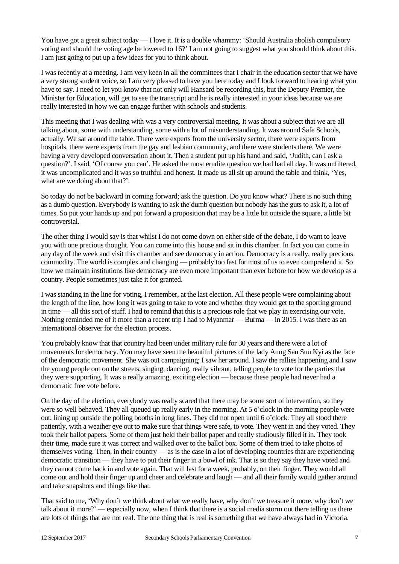You have got a great subject today — I love it. It is a double whammy: 'Should Australia abolish compulsory voting and should the voting age be lowered to 16?' I am not going to suggest what you should think about this. I am just going to put up a few ideas for you to think about.

I was recently at a meeting. I am very keen in all the committees that I chair in the education sector that we have a very strong student voice, so I am very pleased to have you here today and I look forward to hearing what you have to say. I need to let you know that not only will Hansard be recording this, but the Deputy Premier, the Minister for Education, will get to see the transcript and he is really interested in your ideas because we are really interested in how we can engage further with schools and students.

This meeting that I was dealing with was a very controversial meeting. It was about a subject that we are all talking about, some with understanding, some with a lot of misunderstanding. It was around Safe Schools, actually. We sat around the table. There were experts from the university sector, there were experts from hospitals, there were experts from the gay and lesbian community, and there were students there. We were having a very developed conversation about it. Then a student put up his hand and said, 'Judith, can I ask a question?'. I said, 'Of course you can'. He asked the most erudite question we had had all day. It was unfiltered, it was uncomplicated and it was so truthful and honest. It made us all sit up around the table and think, 'Yes, what are we doing about that?'.

So today do not be backward in coming forward; ask the question. Do you know what? There is no such thing as a dumb question. Everybody is wanting to ask the dumb question but nobody has the guts to ask it, a lot of times. So put your hands up and put forward a proposition that may be a little bit outside the square, a little bit controversial.

The other thing I would say is that whilst I do not come down on either side of the debate, I do want to leave you with one precious thought. You can come into this house and sit in this chamber. In fact you can come in any day of the week and visit this chamber and see democracy in action. Democracy is a really, really precious commodity. The world is complex and changing — probably too fast for most of us to even comprehend it. So how we maintain institutions like democracy are even more important than ever before for how we develop as a country. People sometimes just take it for granted.

I was standing in the line for voting, I remember, at the last election. All these people were complaining about the length of the line, how long it was going to take to vote and whether they would get to the sporting ground in time — all this sort of stuff. I had to remind that this is a precious role that we play in exercising our vote. Nothing reminded me of it more than a recent trip I had to Myanmar — Burma — in 2015. I was there as an international observer for the election process.

You probably know that that country had been under military rule for 30 years and there were a lot of movements for democracy. You may have seen the beautiful pictures of the lady Aung San Suu Kyi as the face of the democratic movement. She was out campaigning; I saw her around. I saw the rallies happening and I saw the young people out on the streets, singing, dancing, really vibrant, telling people to vote for the parties that they were supporting. It was a really amazing, exciting election — because these people had never had a democratic free vote before.

On the day of the election, everybody was really scared that there may be some sort of intervention, so they were so well behaved. They all queued up really early in the morning. At 5 o'clock in the morning people were out, lining up outside the polling booths in long lines. They did not open until 6 o'clock. They all stood there patiently, with a weather eye out to make sure that things were safe, to vote. They went in and they voted. They took their ballot papers. Some of them just held their ballot paper and really studiously filled it in. They took their time, made sure it was correct and walked over to the ballot box. Some of them tried to take photos of themselves voting. Then, in their country — as is the case in a lot of developing countries that are experiencing democratic transition — they have to put their finger in a bowl of ink. That is so they say they have voted and they cannot come back in and vote again. That will last for a week, probably, on their finger. They would all come out and hold their finger up and cheer and celebrate and laugh — and all their family would gather around and take snapshots and things like that.

That said to me, 'Why don't we think about what we really have, why don't we treasure it more, why don't we talk about it more?' — especially now, when I think that there is a social media storm out there telling us there are lots of things that are not real. The one thing that is real is something that we have always had in Victoria.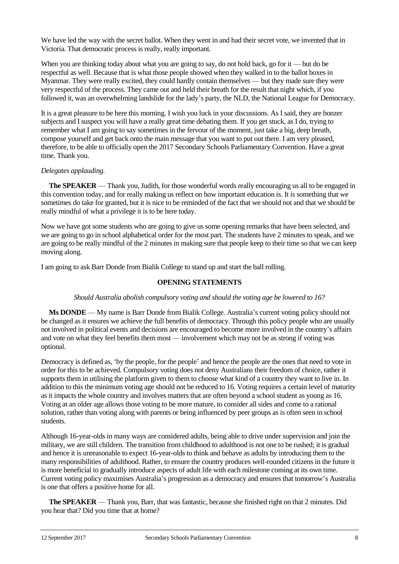We have led the way with the secret ballot. When they went in and had their secret vote, we invented that in Victoria. That democratic process is really, really important.

When you are thinking today about what you are going to say, do not hold back, go for it — but do be respectful as well. Because that is what those people showed when they walked in to the ballot boxes in Myanmar. They were really excited, they could hardly contain themselves — but they made sure they were very respectful of the process. They came out and held their breath for the result that night which, if you followed it, was an overwhelming landslide for the lady's party, the NLD, the National League for Democracy.

It is a great pleasure to be here this morning. I wish you luck in your discussions. As I said, they are bonzer subjects and I suspect you will have a really great time debating them. If you get stuck, as I do, trying to remember what I am going to say sometimes in the fervour of the moment, just take a big, deep breath, compose yourself and get back onto the main message that you want to put out there. I am very pleased, therefore, to be able to officially open the 2017 Secondary Schools Parliamentary Convention. Have a great time. Thank you.

## *Delegates applauding.*

**The SPEAKER** — Thank you, Judith, for those wonderful words really encouraging us all to be engaged in this convention today, and for really making us reflect on how important education is. It is something that we sometimes do take for granted, but it is nice to be reminded of the fact that we should not and that we should be really mindful of what a privilege it is to be here today.

Now we have got some students who are going to give us some opening remarks that have been selected, and we are going to go in school alphabetical order for the most part. The students have 2 minutes to speak, and we are going to be really mindful of the 2 minutes in making sure that people keep to their time so that we can keep moving along.

I am going to ask Barr Donde from Bialik College to stand up and start the ball rolling.

## **OPENING STATEMENTS**

#### *Should Australia abolish compulsory voting and should the voting age be lowered to 16?*

**Ms DONDE** — My name is Barr Donde from Bialik College. Australia's current voting policy should not be changed as it ensures we achieve the full benefits of democracy. Through this policy people who are usually not involved in political events and decisions are encouraged to become more involved in the country's affairs and vote on what they feel benefits them most — involvement which may not be as strong if voting was optional.

Democracy is defined as, 'by the people, for the people' and hence the people are the ones that need to vote in order for this to be achieved. Compulsory voting does not deny Australians their freedom of choice, rather it supports them in utilising the platform given to them to choose what kind of a country they want to live in. In addition to this the minimum voting age should not be reduced to 16. Voting requires a certain level of maturity as it impacts the whole country and involves matters that are often beyond a school student as young as 16. Voting at an older age allows those voting to be more mature, to consider all sides and come to a rational solution, rather than voting along with parents or being influenced by peer groups as is often seen in school students.

Although 16-year-olds in many ways are considered adults, being able to drive under supervision and join the military, we are still children. The transition from childhood to adulthood is not one to be rushed; it is gradual and hence it is unreasonable to expect 16-year-olds to think and behave as adults by introducing them to the many responsibilities of adulthood. Rather, to ensure the country produces well-rounded citizens in the future it is more beneficial to gradually introduce aspects of adult life with each milestone coming at its own time. Current voting policy maximises Australia's progression as a democracy and ensures that tomorrow's Australia is one that offers a positive home for all.

**The SPEAKER** — Thank you, Barr, that was fantastic, because she finished right on that 2 minutes. Did you hear that? Did you time that at home?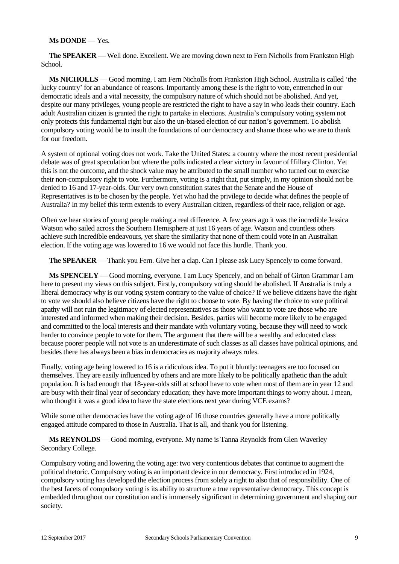#### **Ms DONDE** — Yes.

**The SPEAKER** — Well done. Excellent. We are moving down next to Fern Nicholls from Frankston High School.

**Ms NICHOLLS** — Good morning. I am Fern Nicholls from Frankston High School. Australia is called 'the lucky country' for an abundance of reasons. Importantly among these is the right to vote, entrenched in our democratic ideals and a vital necessity, the compulsory nature of which should not be abolished. And yet, despite our many privileges, young people are restricted the right to have a say in who leads their country. Each adult Australian citizen is granted the right to partake in elections. Australia's compulsory voting system not only protects this fundamental right but also the un-biased election of our nation's government. To abolish compulsory voting would be to insult the foundations of our democracy and shame those who we are to thank for our freedom.

A system of optional voting does not work. Take the United States: a country where the most recent presidential debate was of great speculation but where the polls indicated a clear victory in favour of Hillary Clinton. Yet this is not the outcome, and the shock value may be attributed to the small number who turned out to exercise their non-compulsory right to vote. Furthermore, voting is a right that, put simply, in my opinion should not be denied to 16 and 17-year-olds. Our very own constitution states that the Senate and the House of Representatives is to be chosen by the people. Yet who had the privilege to decide what defines the people of Australia? In my belief this term extends to every Australian citizen, regardless of their race, religion or age.

Often we hear stories of young people making a real difference. A few years ago it was the incredible Jessica Watson who sailed across the Southern Hemisphere at just 16 years of age. Watson and countless others achieve such incredible endeavours, yet share the similarity that none of them could vote in an Australian election. If the voting age was lowered to 16 we would not face this hurdle. Thank you.

**The SPEAKER** — Thank you Fern. Give her a clap. Can I please ask Lucy Spencely to come forward.

**Ms SPENCELY** — Good morning, everyone. I am Lucy Spencely, and on behalf of Girton Grammar I am here to present my views on this subject. Firstly, compulsory voting should be abolished. If Australia is truly a liberal democracy why is our voting system contrary to the value of choice? If we believe citizens have the right to vote we should also believe citizens have the right to choose to vote. By having the choice to vote political apathy will not ruin the legitimacy of elected representatives as those who want to vote are those who are interested and informed when making their decision. Besides, parties will become more likely to be engaged and committed to the local interests and their mandate with voluntary voting, because they will need to work harder to convince people to vote for them. The argument that there will be a wealthy and educated class because poorer people will not vote is an underestimate of such classes as all classes have political opinions, and besides there has always been a bias in democracies as majority always rules.

Finally, voting age being lowered to 16 is a ridiculous idea. To put it bluntly: teenagers are too focused on themselves. They are easily influenced by others and are more likely to be politically apathetic than the adult population. It is bad enough that 18-year-olds still at school have to vote when most of them are in year 12 and are busy with their final year of secondary education; they have more important things to worry about. I mean, who thought it was a good idea to have the state elections next year during VCE exams?

While some other democracies have the voting age of 16 those countries generally have a more politically engaged attitude compared to those in Australia. That is all, and thank you for listening.

**Ms REYNOLDS** — Good morning, everyone. My name is Tanna Reynolds from Glen Waverley Secondary College.

Compulsory voting and lowering the voting age: two very contentious debates that continue to augment the political rhetoric. Compulsory voting is an important device in our democracy. First introduced in 1924, compulsory voting has developed the election process from solely a right to also that of responsibility. One of the best facets of compulsory voting is its ability to structure a true representative democracy. This concept is embedded throughout our constitution and is immensely significant in determining government and shaping our society.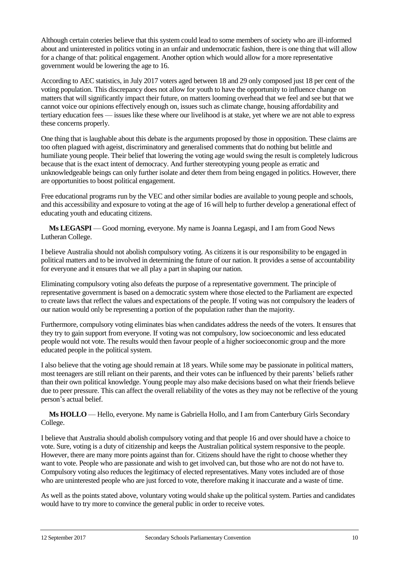Although certain coteries believe that this system could lead to some members of society who are ill-informed about and uninterested in politics voting in an unfair and undemocratic fashion, there is one thing that will allow for a change of that: political engagement. Another option which would allow for a more representative government would be lowering the age to 16.

According to AEC statistics, in July 2017 voters aged between 18 and 29 only composed just 18 per cent of the voting population. This discrepancy does not allow for youth to have the opportunity to influence change on matters that will significantly impact their future, on matters looming overhead that we feel and see but that we cannot voice our opinions effectively enough on, issues such as climate change, housing affordability and tertiary education fees — issues like these where our livelihood is at stake, yet where we are not able to express these concerns properly.

One thing that is laughable about this debate is the arguments proposed by those in opposition. These claims are too often plagued with ageist, discriminatory and generalised comments that do nothing but belittle and humiliate young people. Their belief that lowering the voting age would swing the result is completely ludicrous because that is the exact intent of democracy. And further stereotyping young people as erratic and unknowledgeable beings can only further isolate and deter them from being engaged in politics. However, there are opportunities to boost political engagement.

Free educational programs run by the VEC and other similar bodies are available to young people and schools, and this accessibility and exposure to voting at the age of 16 will help to further develop a generational effect of educating youth and educating citizens.

**Ms LEGASPI** — Good morning, everyone. My name is Joanna Legaspi, and I am from Good News Lutheran College.

I believe Australia should not abolish compulsory voting. As citizens it is our responsibility to be engaged in political matters and to be involved in determining the future of our nation. It provides a sense of accountability for everyone and it ensures that we all play a part in shaping our nation.

Eliminating compulsory voting also defeats the purpose of a representative government. The principle of representative government is based on a democratic system where those elected to the Parliament are expected to create laws that reflect the values and expectations of the people. If voting was not compulsory the leaders of our nation would only be representing a portion of the population rather than the majority.

Furthermore, compulsory voting eliminates bias when candidates address the needs of the voters. It ensures that they try to gain support from everyone. If voting was not compulsory, low socioeconomic and less educated people would not vote. The results would then favour people of a higher socioeconomic group and the more educated people in the political system.

I also believe that the voting age should remain at 18 years. While some may be passionate in political matters, most teenagers are still reliant on their parents, and their votes can be influenced by their parents' beliefs rather than their own political knowledge. Young people may also make decisions based on what their friends believe due to peer pressure. This can affect the overall reliability of the votes as they may not be reflective of the young person's actual belief.

**Ms HOLLO** — Hello, everyone. My name is Gabriella Hollo, and I am from Canterbury Girls Secondary College.

I believe that Australia should abolish compulsory voting and that people 16 and over should have a choice to vote. Sure, voting is a duty of citizenship and keeps the Australian political system responsive to the people. However, there are many more points against than for. Citizens should have the right to choose whether they want to vote. People who are passionate and wish to get involved can, but those who are not do not have to. Compulsory voting also reduces the legitimacy of elected representatives. Many votes included are of those who are uninterested people who are just forced to vote, therefore making it inaccurate and a waste of time.

As well as the points stated above, voluntary voting would shake up the political system. Parties and candidates would have to try more to convince the general public in order to receive votes.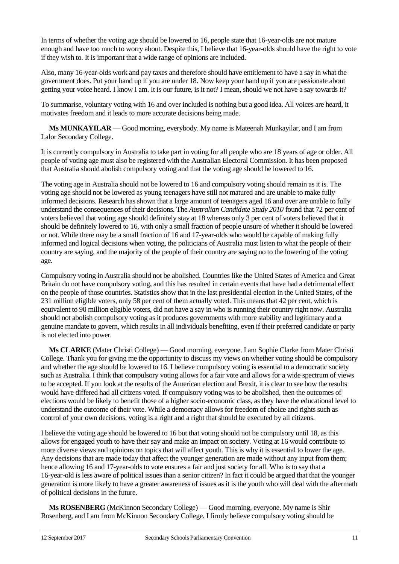In terms of whether the voting age should be lowered to 16, people state that 16-year-olds are not mature enough and have too much to worry about. Despite this, I believe that 16-year-olds should have the right to vote if they wish to. It is important that a wide range of opinions are included.

Also, many 16-year-olds work and pay taxes and therefore should have entitlement to have a say in what the government does. Put your hand up if you are under 18. Now keep your hand up if you are passionate about getting your voice heard. I know I am. It is our future, is it not? I mean, should we not have a say towards it?

To summarise, voluntary voting with 16 and over included is nothing but a good idea. All voices are heard, it motivates freedom and it leads to more accurate decisions being made.

**Ms MUNKAYILAR** — Good morning, everybody. My name is Mateenah Munkayilar, and I am from Lalor Secondary College.

It is currently compulsory in Australia to take part in voting for all people who are 18 years of age or older. All people of voting age must also be registered with the Australian Electoral Commission. It has been proposed that Australia should abolish compulsory voting and that the voting age should be lowered to 16.

The voting age in Australia should not be lowered to 16 and compulsory voting should remain as it is. The voting age should not be lowered as young teenagers have still not matured and are unable to make fully informed decisions. Research has shown that a large amount of teenagers aged 16 and over are unable to fully understand the consequences of their decisions. The *Australian Candidate Study 2010* found that 72 per cent of voters believed that voting age should definitely stay at 18 whereas only 3 per cent of voters believed that it should be definitely lowered to 16, with only a small fraction of people unsure of whether it should be lowered or not. While there may be a small fraction of 16 and 17-year-olds who would be capable of making fully informed and logical decisions when voting, the politicians of Australia must listen to what the people of their country are saying, and the majority of the people of their country are saying no to the lowering of the voting age.

Compulsory voting in Australia should not be abolished. Countries like the United States of America and Great Britain do not have compulsory voting, and this has resulted in certain events that have had a detrimental effect on the people of those countries. Statistics show that in the last presidential election in the United States, of the 231 million eligible voters, only 58 per cent of them actually voted. This means that 42 per cent, which is equivalent to 90 million eligible voters, did not have a say in who is running their country right now. Australia should not abolish compulsory voting as it produces governments with more stability and legitimacy and a genuine mandate to govern, which results in all individuals benefiting, even if their preferred candidate or party is not elected into power.

**Ms CLARKE** (Mater Christi College) — Good morning, everyone. I am Sophie Clarke from Mater Christi College. Thank you for giving me the opportunity to discuss my views on whether voting should be compulsory and whether the age should be lowered to 16. I believe compulsory voting is essential to a democratic society such as Australia. I think that compulsory voting allows for a fair vote and allows for a wide spectrum of views to be accepted. If you look at the results of the American election and Brexit, it is clear to see how the results would have differed had all citizens voted. If compulsory voting was to be abolished, then the outcomes of elections would be likely to benefit those of a higher socio-economic class, as they have the educational level to understand the outcome of their vote. While a democracy allows for freedom of choice and rights such as control of your own decisions, voting is a right and a right that should be executed by all citizens.

I believe the voting age should be lowered to 16 but that voting should not be compulsory until 18, as this allows for engaged youth to have their say and make an impact on society. Voting at 16 would contribute to more diverse views and opinions on topics that will affect youth. This is why it is essential to lower the age. Any decisions that are made today that affect the younger generation are made without any input from them; hence allowing 16 and 17-year-olds to vote ensures a fair and just society for all. Who is to say that a 16-year-old is less aware of political issues than a senior citizen? In fact it could be argued that that the younger generation is more likely to have a greater awareness of issues as it is the youth who will deal with the aftermath of political decisions in the future.

**Ms ROSENBERG** (McKinnon Secondary College) — Good morning, everyone. My name is Shir Rosenberg, and I am from McKinnon Secondary College. I firmly believe compulsory voting should be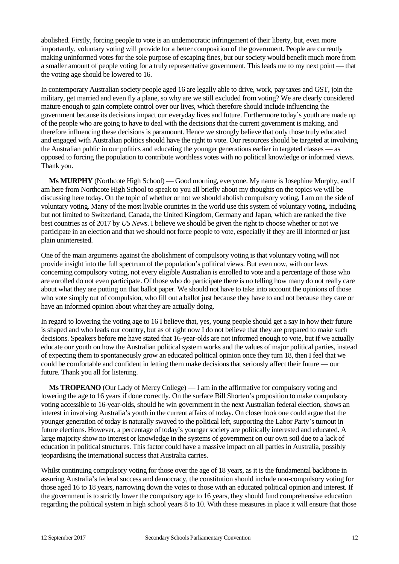abolished. Firstly, forcing people to vote is an undemocratic infringement of their liberty, but, even more importantly, voluntary voting will provide for a better composition of the government. People are currently making uninformed votes for the sole purpose of escaping fines, but our society would benefit much more from a smaller amount of people voting for a truly representative government. This leads me to my next point — that the voting age should be lowered to 16.

In contemporary Australian society people aged 16 are legally able to drive, work, pay taxes and GST, join the military, get married and even fly a plane, so why are we still excluded from voting? We are clearly considered mature enough to gain complete control over our lives, which therefore should include influencing the government because its decisions impact our everyday lives and future. Furthermore today's youth are made up of the people who are going to have to deal with the decisions that the current government is making, and therefore influencing these decisions is paramount. Hence we strongly believe that only those truly educated and engaged with Australian politics should have the right to vote. Our resources should be targeted at involving the Australian public in our politics and educating the younger generations earlier in targeted classes — as opposed to forcing the population to contribute worthless votes with no political knowledge or informed views. Thank you.

**Ms MURPHY** (Northcote High School) — Good morning, everyone. My name is Josephine Murphy, and I am here from Northcote High School to speak to you all briefly about my thoughts on the topics we will be discussing here today. On the topic of whether or not we should abolish compulsory voting, I am on the side of voluntary voting. Many of the most livable countries in the world use this system of voluntary voting, including but not limited to Switzerland, Canada, the United Kingdom, Germany and Japan, which are ranked the five best countries as of 2017 by *US News*. I believe we should be given the right to choose whether or not we participate in an election and that we should not force people to vote, especially if they are ill informed or just plain uninterested.

One of the main arguments against the abolishment of compulsory voting is that voluntary voting will not provide insight into the full spectrum of the population's political views. But even now, with our laws concerning compulsory voting, not every eligible Australian is enrolled to vote and a percentage of those who are enrolled do not even participate. Of those who do participate there is no telling how many do not really care about what they are putting on that ballot paper. We should not have to take into account the opinions of those who vote simply out of compulsion, who fill out a ballot just because they have to and not because they care or have an informed opinion about what they are actually doing.

In regard to lowering the voting age to 16 I believe that, yes, young people should get a say in how their future is shaped and who leads our country, but as of right now I do not believe that they are prepared to make such decisions. Speakers before me have stated that 16-year-olds are not informed enough to vote, but if we actually educate our youth on how the Australian political system works and the values of major political parties, instead of expecting them to spontaneously grow an educated political opinion once they turn 18, then I feel that we could be comfortable and confident in letting them make decisions that seriously affect their future — our future. Thank you all for listening.

**Ms TROPEANO** (Our Lady of Mercy College) — I am in the affirmative for compulsory voting and lowering the age to 16 years if done correctly. On the surface Bill Shorten's proposition to make compulsory voting accessible to 16-year-olds, should he win government in the next Australian federal election, shows an interest in involving Australia's youth in the current affairs of today. On closer look one could argue that the younger generation of today is naturally swayed to the political left, supporting the Labor Party's turnout in future elections. However, a percentage of today's younger society are politically interested and educated. A large majority show no interest or knowledge in the systems of government on our own soil due to a lack of education in political structures. This factor could have a massive impact on all parties in Australia, possibly jeopardising the international success that Australia carries.

Whilst continuing compulsory voting for those over the age of 18 years, as it is the fundamental backbone in assuring Australia's federal success and democracy, the constitution should include non-compulsory voting for those aged 16 to 18 years, narrowing down the votes to those with an educated political opinion and interest. If the government is to strictly lower the compulsory age to 16 years, they should fund comprehensive education regarding the political system in high school years 8 to 10. With these measures in place it will ensure that those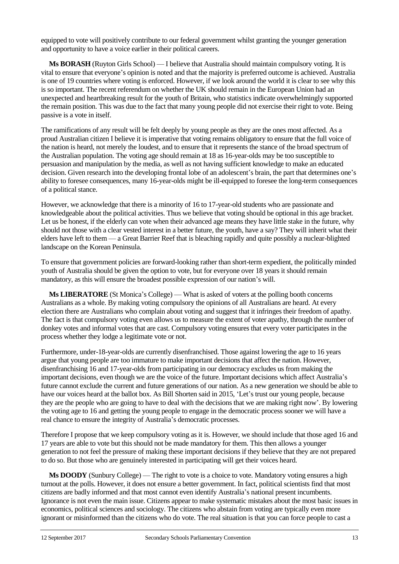equipped to vote will positively contribute to our federal government whilst granting the younger generation and opportunity to have a voice earlier in their political careers.

**Ms BORASH** (Ruyton Girls School) — I believe that Australia should maintain compulsory voting. It is vital to ensure that everyone's opinion is noted and that the majority is preferred outcome is achieved. Australia is one of 19 countries where voting is enforced. However, if we look around the world it is clear to see why this is so important. The recent referendum on whether the UK should remain in the European Union had an unexpected and heartbreaking result for the youth of Britain, who statistics indicate overwhelmingly supported the remain position. This was due to the fact that many young people did not exercise their right to vote. Being passive is a vote in itself.

The ramifications of any result will be felt deeply by young people as they are the ones most affected. As a proud Australian citizen I believe it is imperative that voting remains obligatory to ensure that the full voice of the nation is heard, not merely the loudest, and to ensure that it represents the stance of the broad spectrum of the Australian population. The voting age should remain at 18 as 16-year-olds may be too susceptible to persuasion and manipulation by the media, as well as not having sufficient knowledge to make an educated decision. Given research into the developing frontal lobe of an adolescent's brain, the part that determines one's ability to foresee consequences, many 16-year-olds might be ill-equipped to foresee the long-term consequences of a political stance.

However, we acknowledge that there is a minority of 16 to 17-year-old students who are passionate and knowledgeable about the political activities. Thus we believe that voting should be optional in this age bracket. Let us be honest, if the elderly can vote when their advanced age means they have little stake in the future, why should not those with a clear vested interest in a better future, the youth, have a say? They will inherit what their elders have left to them — a Great Barrier Reef that is bleaching rapidly and quite possibly a nuclear-blighted landscape on the Korean Peninsula.

To ensure that government policies are forward-looking rather than short-term expedient, the politically minded youth of Australia should be given the option to vote, but for everyone over 18 years it should remain mandatory, as this will ensure the broadest possible expression of our nation's will.

**Ms LIBERATORE** (St Monica's College) — What is asked of voters at the polling booth concerns Australians as a whole. By making voting compulsory the opinions of all Australians are heard. At every election there are Australians who complain about voting and suggest that it infringes their freedom of apathy. The fact is that compulsory voting even allows us to measure the extent of voter apathy, through the number of donkey votes and informal votes that are cast. Compulsory voting ensures that every voter participates in the process whether they lodge a legitimate vote or not.

Furthermore, under-18-year-olds are currently disenfranchised. Those against lowering the age to 16 years argue that young people are too immature to make important decisions that affect the nation. However, disenfranchising 16 and 17-year-olds from participating in our democracy excludes us from making the important decisions, even though we are the voice of the future. Important decisions which affect Australia's future cannot exclude the current and future generations of our nation. As a new generation we should be able to have our voices heard at the ballot box. As Bill Shorten said in 2015, 'Let's trust our young people, because they are the people who are going to have to deal with the decisions that we are making right now'. By lowering the voting age to 16 and getting the young people to engage in the democratic process sooner we will have a real chance to ensure the integrity of Australia's democratic processes.

Therefore I propose that we keep compulsory voting as it is. However, we should include that those aged 16 and 17 years are able to vote but this should not be made mandatory for them. This then allows a younger generation to not feel the pressure of making these important decisions if they believe that they are not prepared to do so. But those who are genuinely interested in participating will get their voices heard.

**Ms DOODY** (Sunbury College) — The right to vote is a choice to vote. Mandatory voting ensures a high turnout at the polls. However, it does not ensure a better government. In fact, political scientists find that most citizens are badly informed and that most cannot even identify Australia's national present incumbents. Ignorance is not even the main issue. Citizens appear to make systematic mistakes about the most basic issues in economics, political sciences and sociology. The citizens who abstain from voting are typically even more ignorant or misinformed than the citizens who do vote. The real situation is that you can force people to cast a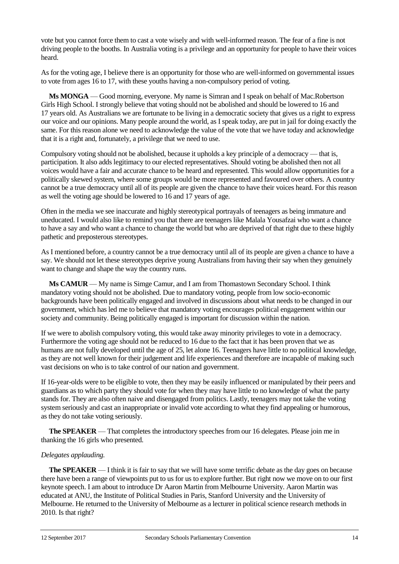vote but you cannot force them to cast a vote wisely and with well-informed reason. The fear of a fine is not driving people to the booths. In Australia voting is a privilege and an opportunity for people to have their voices heard.

As for the voting age, I believe there is an opportunity for those who are well-informed on governmental issues to vote from ages 16 to 17, with these youths having a non-compulsory period of voting.

**Ms MONGA** — Good morning, everyone. My name is Simran and I speak on behalf of Mac.Robertson Girls High School. I strongly believe that voting should not be abolished and should be lowered to 16 and 17 years old. As Australians we are fortunate to be living in a democratic society that gives us a right to express our voice and our opinions. Many people around the world, as I speak today, are put in jail for doing exactly the same. For this reason alone we need to acknowledge the value of the vote that we have today and acknowledge that it is a right and, fortunately, a privilege that we need to use.

Compulsory voting should not be abolished, because it upholds a key principle of a democracy — that is, participation. It also adds legitimacy to our elected representatives. Should voting be abolished then not all voices would have a fair and accurate chance to be heard and represented. This would allow opportunities for a politically skewed system, where some groups would be more represented and favoured over others. A country cannot be a true democracy until all of its people are given the chance to have their voices heard. For this reason as well the voting age should be lowered to 16 and 17 years of age.

Often in the media we see inaccurate and highly stereotypical portrayals of teenagers as being immature and uneducated. I would also like to remind you that there are teenagers like Malala Yousafzai who want a chance to have a say and who want a chance to change the world but who are deprived of that right due to these highly pathetic and preposterous stereotypes.

As I mentioned before, a country cannot be a true democracy until all of its people are given a chance to have a say. We should not let these stereotypes deprive young Australians from having their say when they genuinely want to change and shape the way the country runs.

**Ms CAMUR** — My name is Simge Camur, and I am from Thomastown Secondary School. I think mandatory voting should not be abolished. Due to mandatory voting, people from low socio-economic backgrounds have been politically engaged and involved in discussions about what needs to be changed in our government, which has led me to believe that mandatory voting encourages political engagement within our society and community. Being politically engaged is important for discussion within the nation.

If we were to abolish compulsory voting, this would take away minority privileges to vote in a democracy. Furthermore the voting age should not be reduced to 16 due to the fact that it has been proven that we as humans are not fully developed until the age of 25, let alone 16. Teenagers have little to no political knowledge, as they are not well known for their judgement and life experiences and therefore are incapable of making such vast decisions on who is to take control of our nation and government.

If 16-year-olds were to be eligible to vote, then they may be easily influenced or manipulated by their peers and guardians as to which party they should vote for when they may have little to no knowledge of what the party stands for. They are also often naive and disengaged from politics. Lastly, teenagers may not take the voting system seriously and cast an inappropriate or invalid vote according to what they find appealing or humorous, as they do not take voting seriously.

**The SPEAKER** — That completes the introductory speeches from our 16 delegates. Please join me in thanking the 16 girls who presented.

## *Delegates applauding.*

**The SPEAKER** — I think it is fair to say that we will have some terrific debate as the day goes on because there have been a range of viewpoints put to us for us to explore further. But right now we move on to our first keynote speech. I am about to introduce Dr Aaron Martin from Melbourne University. Aaron Martin was educated at ANU, the Institute of Political Studies in Paris, Stanford University and the University of Melbourne. He returned to the University of Melbourne as a lecturer in political science research methods in 2010. Is that right?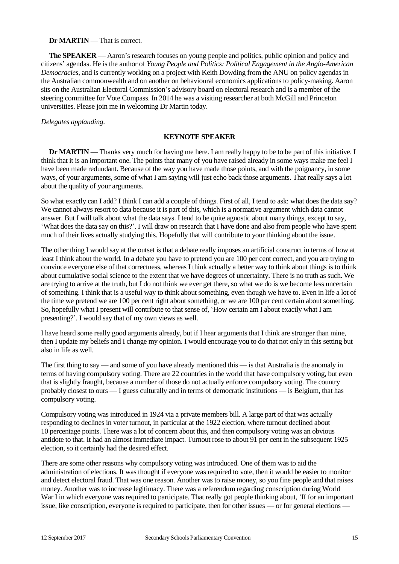## **Dr MARTIN** — That is correct.

**The SPEAKER** — Aaron's research focuses on young people and politics, public opinion and policy and citizens' agendas. He is the author of *Young People and Politics: Political Engagement in the Anglo-American Democracies*, and is currently working on a project with Keith Dowding from the ANU on policy agendas in the Australian commonwealth and on another on behavioural economics applications to policy-making. Aaron sits on the Australian Electoral Commission's advisory board on electoral research and is a member of the steering committee for Vote Compass. In 2014 he was a visiting researcher at both McGill and Princeton universities. Please join me in welcoming Dr Martin today.

#### *Delegates applauding*.

#### **KEYNOTE SPEAKER**

**Dr <b>MARTIN** — Thanks very much for having me here. I am really happy to be to be part of this initiative. I think that it is an important one. The points that many of you have raised already in some ways make me feel I have been made redundant. Because of the way you have made those points, and with the poignancy, in some ways, of your arguments, some of what I am saying will just echo back those arguments. That really says a lot about the quality of your arguments.

So what exactly can I add? I think I can add a couple of things. First of all, I tend to ask: what does the data say? We cannot always resort to data because it is part of this, which is a normative argument which data cannot answer. But I will talk about what the data says. I tend to be quite agnostic about many things, except to say, 'What does the data say on this?'. I will draw on research that I have done and also from people who have spent much of their lives actually studying this. Hopefully that will contribute to your thinking about the issue.

The other thing I would say at the outset is that a debate really imposes an artificial construct in terms of how at least I think about the world. In a debate you have to pretend you are 100 per cent correct, and you are trying to convince everyone else of that correctness, whereas I think actually a better way to think about things is to think about cumulative social science to the extent that we have degrees of uncertainty. There is no truth as such. We are trying to arrive at the truth, but I do not think we ever get there, so what we do is we become less uncertain of something. I think that is a useful way to think about something, even though we have to. Even in life a lot of the time we pretend we are 100 per cent right about something, or we are 100 per cent certain about something. So, hopefully what I present will contribute to that sense of, 'How certain am I about exactly what I am presenting?'. I would say that of my own views as well.

I have heard some really good arguments already, but if I hear arguments that I think are stronger than mine, then I update my beliefs and I change my opinion. I would encourage you to do that not only in this setting but also in life as well.

The first thing to say — and some of you have already mentioned this — is that Australia is the anomaly in terms of having compulsory voting. There are 22 countries in the world that have compulsory voting, but even that is slightly fraught, because a number of those do not actually enforce compulsory voting. The country probably closest to ours — I guess culturally and in terms of democratic institutions — is Belgium, that has compulsory voting.

Compulsory voting was introduced in 1924 via a private members bill. A large part of that was actually responding to declines in voter turnout, in particular at the 1922 election, where turnout declined about 10 percentage points. There was a lot of concern about this, and then compulsory voting was an obvious antidote to that. It had an almost immediate impact. Turnout rose to about 91 per cent in the subsequent 1925 election, so it certainly had the desired effect.

There are some other reasons why compulsory voting was introduced. One of them was to aid the administration of elections. It was thought if everyone was required to vote, then it would be easier to monitor and detect electoral fraud. That was one reason. Another was to raise money, so you fine people and that raises money. Another was to increase legitimacy. There was a referendum regarding conscription during World War I in which everyone was required to participate. That really got people thinking about, 'If for an important issue, like conscription, everyone is required to participate, then for other issues — or for general elections —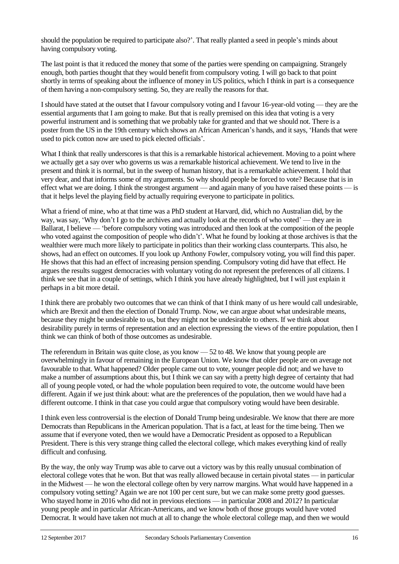should the population be required to participate also?'. That really planted a seed in people's minds about having compulsory voting.

The last point is that it reduced the money that some of the parties were spending on campaigning. Strangely enough, both parties thought that they would benefit from compulsory voting. I will go back to that point shortly in terms of speaking about the influence of money in US politics, which I think in part is a consequence of them having a non-compulsory setting. So, they are really the reasons for that.

I should have stated at the outset that I favour compulsory voting and I favour 16-year-old voting — they are the essential arguments that I am going to make. But that is really premised on this idea that voting is a very powerful instrument and is something that we probably take for granted and that we should not. There is a poster from the US in the 19th century which shows an African American's hands, and it says, 'Hands that were used to pick cotton now are used to pick elected officials'.

What I think that really underscores is that this is a remarkable historical achievement. Moving to a point where we actually get a say over who governs us was a remarkable historical achievement. We tend to live in the present and think it is normal, but in the sweep of human history, that is a remarkable achievement. I hold that very dear, and that informs some of my arguments. So why should people be forced to vote? Because that is in effect what we are doing. I think the strongest argument — and again many of you have raised these points — is that it helps level the playing field by actually requiring everyone to participate in politics.

What a friend of mine, who at that time was a PhD student at Harvard, did, which no Australian did, by the way, was say, 'Why don't I go to the archives and actually look at the records of who voted' — they are in Ballarat, I believe — 'before compulsory voting was introduced and then look at the composition of the people who voted against the composition of people who didn't'. What he found by looking at those archives is that the wealthier were much more likely to participate in politics than their working class counterparts. This also, he shows, had an effect on outcomes. If you look up Anthony Fowler, compulsory voting, you will find this paper. He shows that this had an effect of increasing pension spending. Compulsory voting did have that effect. He argues the results suggest democracies with voluntary voting do not represent the preferences of all citizens. I think we see that in a couple of settings, which I think you have already highlighted, but I will just explain it perhaps in a bit more detail.

I think there are probably two outcomes that we can think of that I think many of us here would call undesirable, which are Brexit and then the election of Donald Trump. Now, we can argue about what undesirable means, because they might be undesirable to us, but they might not be undesirable to others. If we think about desirability purely in terms of representation and an election expressing the views of the entire population, then I think we can think of both of those outcomes as undesirable.

The referendum in Britain was quite close, as you know — 52 to 48. We know that young people are overwhelmingly in favour of remaining in the European Union. We know that older people are on average not favourable to that. What happened? Older people came out to vote, younger people did not; and we have to make a number of assumptions about this, but I think we can say with a pretty high degree of certainty that had all of young people voted, or had the whole population been required to vote, the outcome would have been different. Again if we just think about: what are the preferences of the population, then we would have had a different outcome. I think in that case you could argue that compulsory voting would have been desirable.

I think even less controversial is the election of Donald Trump being undesirable. We know that there are more Democrats than Republicans in the American population. That is a fact, at least for the time being. Then we assume that if everyone voted, then we would have a Democratic President as opposed to a Republican President. There is this very strange thing called the electoral college, which makes everything kind of really difficult and confusing.

By the way, the only way Trump was able to carve out a victory was by this really unusual combination of electoral college votes that he won. But that was really allowed because in certain pivotal states — in particular in the Midwest — he won the electoral college often by very narrow margins. What would have happened in a compulsory voting setting? Again we are not 100 per cent sure, but we can make some pretty good guesses. Who stayed home in 2016 who did not in previous elections — in particular 2008 and 2012? In particular young people and in particular African-Americans, and we know both of those groups would have voted Democrat. It would have taken not much at all to change the whole electoral college map, and then we would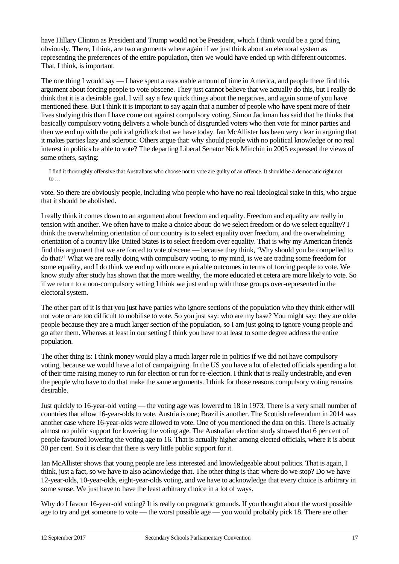have Hillary Clinton as President and Trump would not be President, which I think would be a good thing obviously. There, I think, are two arguments where again if we just think about an electoral system as representing the preferences of the entire population, then we would have ended up with different outcomes. That, I think, is important.

The one thing I would say — I have spent a reasonable amount of time in America, and people there find this argument about forcing people to vote obscene. They just cannot believe that we actually do this, but I really do think that it is a desirable goal. I will say a few quick things about the negatives, and again some of you have mentioned these. But I think it is important to say again that a number of people who have spent more of their lives studying this than I have come out against compulsory voting. Simon Jackman has said that he thinks that basically compulsory voting delivers a whole bunch of disgruntled voters who then vote for minor parties and then we end up with the political gridlock that we have today. Ian McAllister has been very clear in arguing that it makes parties lazy and sclerotic. Others argue that: why should people with no political knowledge or no real interest in politics be able to vote? The departing Liberal Senator Nick Minchin in 2005 expressed the views of some others, saying:

I find it thoroughly offensive that Australians who choose not to vote are guilty of an offence. It should be a democratic right not to  $\dots$ 

vote. So there are obviously people, including who people who have no real ideological stake in this, who argue that it should be abolished.

I really think it comes down to an argument about freedom and equality. Freedom and equality are really in tension with another. We often have to make a choice about: do we select freedom or do we select equality? I think the overwhelming orientation of our country is to select equality over freedom, and the overwhelming orientation of a country like United States is to select freedom over equality. That is why my American friends find this argument that we are forced to vote obscene — because they think, 'Why should you be compelled to do that?' What we are really doing with compulsory voting, to my mind, is we are trading some freedom for some equality, and I do think we end up with more equitable outcomes in terms of forcing people to vote. We know study after study has shown that the more wealthy, the more educated et cetera are more likely to vote. So if we return to a non-compulsory setting I think we just end up with those groups over-represented in the electoral system.

The other part of it is that you just have parties who ignore sections of the population who they think either will not vote or are too difficult to mobilise to vote. So you just say: who are my base? You might say: they are older people because they are a much larger section of the population, so I am just going to ignore young people and go after them. Whereas at least in our setting I think you have to at least to some degree address the entire population.

The other thing is: I think money would play a much larger role in politics if we did not have compulsory voting, because we would have a lot of campaigning. In the US you have a lot of elected officials spending a lot of their time raising money to run for election or run for re-election. I think that is really undesirable, and even the people who have to do that make the same arguments. I think for those reasons compulsory voting remains desirable.

Just quickly to 16-year-old voting — the voting age was lowered to 18 in 1973. There is a very small number of countries that allow 16-year-olds to vote. Austria is one; Brazil is another. The Scottish referendum in 2014 was another case where 16-year-olds were allowed to vote. One of you mentioned the data on this. There is actually almost no public support for lowering the voting age. The Australian election study showed that 6 per cent of people favoured lowering the voting age to 16. That is actually higher among elected officials, where it is about 30 per cent. So it is clear that there is very little public support for it.

Ian McAllister shows that young people are less interested and knowledgeable about politics. That is again, I think, just a fact, so we have to also acknowledge that. The other thing is that: where do we stop? Do we have 12-year-olds, 10-year-olds, eight-year-olds voting, and we have to acknowledge that every choice is arbitrary in some sense. We just have to have the least arbitrary choice in a lot of ways.

Why do I favour 16-year-old voting? It is really on pragmatic grounds. If you thought about the worst possible age to try and get someone to vote — the worst possible age — you would probably pick 18. There are other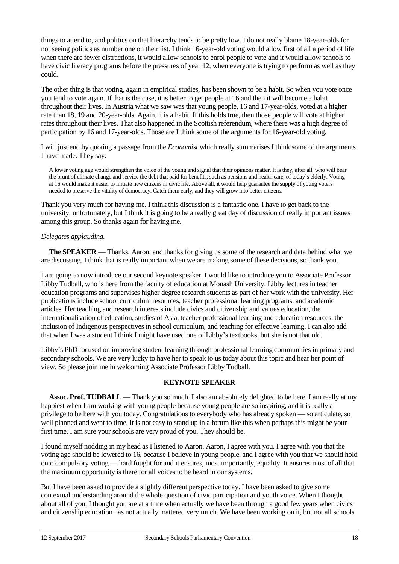things to attend to, and politics on that hierarchy tends to be pretty low. I do not really blame 18-year-olds for not seeing politics as number one on their list. I think 16-year-old voting would allow first of all a period of life when there are fewer distractions, it would allow schools to enrol people to vote and it would allow schools to have civic literacy programs before the pressures of year 12, when everyone is trying to perform as well as they could.

The other thing is that voting, again in empirical studies, has been shown to be a habit. So when you vote once you tend to vote again. If that is the case, it is better to get people at 16 and then it will become a habit throughout their lives. In Austria what we saw was that young people, 16 and 17-year-olds, voted at a higher rate than 18, 19 and 20-year-olds. Again, it is a habit. If this holds true, then those people will vote at higher rates throughout their lives. That also happened in the Scottish referendum, where there was a high degree of participation by 16 and 17-year-olds. Those are I think some of the arguments for 16-year-old voting.

I will just end by quoting a passage from the *Economist* which really summarises I think some of the arguments I have made. They say:

A lower voting age would strengthen the voice of the young and signal that their opinions matter. It is they, after all, who will bear the brunt of climate change and service the debt that paid for benefits, such as pensions and health care, of today's elderly. Voting at 16 would make it easier to initiate new citizens in civic life. Above all, it would help guarantee the supply of young voters needed to preserve the vitality of democracy. Catch them early, and they will grow into better citizens.

Thank you very much for having me. I think this discussion is a fantastic one. I have to get back to the university, unfortunately, but I think it is going to be a really great day of discussion of really important issues among this group. So thanks again for having me.

## *Delegates applauding.*

**The SPEAKER** — Thanks, Aaron, and thanks for giving us some of the research and data behind what we are discussing. I think that is really important when we are making some of these decisions, so thank you.

I am going to now introduce our second keynote speaker. I would like to introduce you to Associate Professor Libby Tudball, who is here from the faculty of education at Monash University. Libby lectures in teacher education programs and supervises higher degree research students as part of her work with the university. Her publications include school curriculum resources, teacher professional learning programs, and academic articles. Her teaching and research interests include civics and citizenship and values education, the internationalisation of education, studies of Asia, teacher professional learning and education resources, the inclusion of Indigenous perspectives in school curriculum, and teaching for effective learning. I can also add that when I was a student I think I might have used one of Libby's textbooks, but she is not that old.

Libby's PhD focused on improving student learning through professional learning communities in primary and secondary schools. We are very lucky to have her to speak to us today about this topic and hear her point of view. So please join me in welcoming Associate Professor Libby Tudball.

#### **KEYNOTE SPEAKER**

**Assoc. Prof. TUDBALL** — Thank you so much. I also am absolutely delighted to be here. I am really at my happiest when I am working with young people because young people are so inspiring, and it is really a privilege to be here with you today. Congratulations to everybody who has already spoken — so articulate, so well planned and went to time. It is not easy to stand up in a forum like this when perhaps this might be your first time. I am sure your schools are very proud of you. They should be.

I found myself nodding in my head as I listened to Aaron. Aaron, I agree with you. I agree with you that the voting age should be lowered to 16, because I believe in young people, and I agree with you that we should hold onto compulsory voting — hard fought for and it ensures, most importantly, equality. It ensures most of all that the maximum opportunity is there for all voices to be heard in our systems.

But I have been asked to provide a slightly different perspective today. I have been asked to give some contextual understanding around the whole question of civic participation and youth voice. When I thought about all of you, I thought you are at a time when actually we have been through a good few years when civics and citizenship education has not actually mattered very much. We have been working on it, but not all schools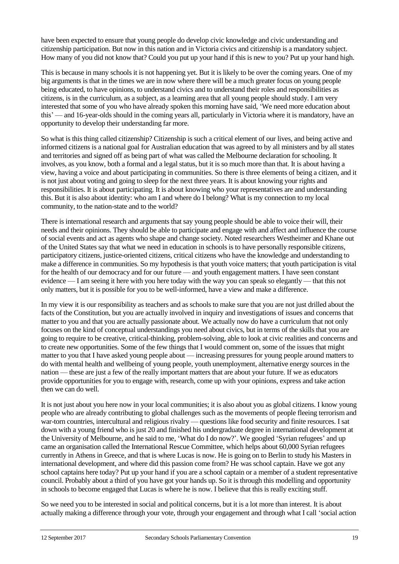have been expected to ensure that young people do develop civic knowledge and civic understanding and citizenship participation. But now in this nation and in Victoria civics and citizenship is a mandatory subject. How many of you did not know that? Could you put up your hand if this is new to you? Put up your hand high.

This is because in many schools it is not happening yet. But it is likely to be over the coming years. One of my big arguments is that in the times we are in now where there will be a much greater focus on young people being educated, to have opinions, to understand civics and to understand their roles and responsibilities as citizens, is in the curriculum, as a subject, as a learning area that all young people should study. I am very interested that some of you who have already spoken this morning have said, 'We need more education about this' — and 16-year-olds should in the coming years all, particularly in Victoria where it is mandatory, have an opportunity to develop their understanding far more.

So what is this thing called citizenship? Citizenship is such a critical element of our lives, and being active and informed citizens is a national goal for Australian education that was agreed to by all ministers and by all states and territories and signed off as being part of what was called the Melbourne declaration for schooling. It involves, as you know, both a formal and a legal status, but it is so much more than that. It is about having a view, having a voice and about participating in communities. So there is three elements of being a citizen, and it is not just about voting and going to sleep for the next three years. It is about knowing your rights and responsibilities. It is about participating. It is about knowing who your representatives are and understanding this. But it is also about identity: who am I and where do I belong? What is my connection to my local community, to the nation-state and to the world?

There is international research and arguments that say young people should be able to voice their will, their needs and their opinions. They should be able to participate and engage with and affect and influence the course of social events and act as agents who shape and change society. Noted researchers Westheimer and Khane out of the United States say that what we need in education in schools is to have personally responsible citizens, participatory citizens, justice-oriented citizens, critical citizens who have the knowledge and understanding to make a difference in communities. So my hypothesis is that youth voice matters; that youth participation is vital for the health of our democracy and for our future — and youth engagement matters. I have seen constant evidence — I am seeing it here with you here today with the way you can speak so elegantly — that this not only matters, but it is possible for you to be well-informed, have a view and make a difference.

In my view it is our responsibility as teachers and as schools to make sure that you are not just drilled about the facts of the Constitution, but you are actually involved in inquiry and investigations of issues and concerns that matter to you and that you are actually passionate about. We actually now do have a curriculum that not only focuses on the kind of conceptual understandings you need about civics, but in terms of the skills that you are going to require to be creative, critical-thinking, problem-solving, able to look at civic realities and concerns and to create new opportunities. Some of the few things that I would comment on, some of the issues that might matter to you that I have asked young people about — increasing pressures for young people around matters to do with mental health and wellbeing of young people, youth unemployment, alternative energy sources in the nation — these are just a few of the really important matters that are about your future. If we as educators provide opportunities for you to engage with, research, come up with your opinions, express and take action then we can do well.

It is not just about you here now in your local communities; it is also about you as global citizens. I know young people who are already contributing to global challenges such as the movements of people fleeing terrorism and war-torn countries, intercultural and religious rivalry — questions like food security and finite resources. I sat down with a young friend who is just 20 and finished his undergraduate degree in international development at the University of Melbourne, and he said to me, 'What do I do now?'. We googled 'Syrian refugees' and up came an organisation called the International Rescue Committee, which helps about 60,000 Syrian refugees currently in Athens in Greece, and that is where Lucas is now. He is going on to Berlin to study his Masters in international development, and where did this passion come from? He was school captain. Have we got any school captains here today? Put up your hand if you are a school captain or a member of a student representative council. Probably about a third of you have got your hands up. So it is through this modelling and opportunity in schools to become engaged that Lucas is where he is now. I believe that this is really exciting stuff.

So we need you to be interested in social and political concerns, but it is a lot more than interest. It is about actually making a difference through your vote, through your engagement and through what I call 'social action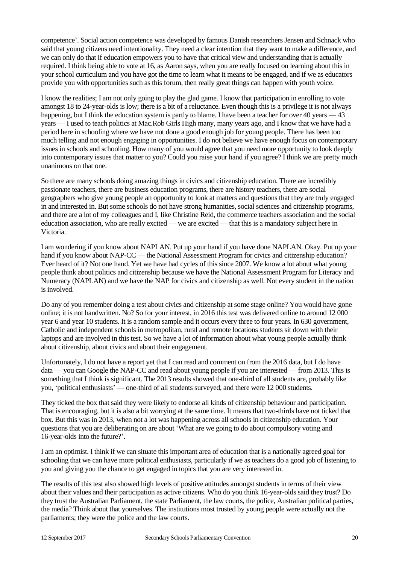competence'. Social action competence was developed by famous Danish researchers Jensen and Schnack who said that young citizens need intentionality. They need a clear intention that they want to make a difference, and we can only do that if education empowers you to have that critical view and understanding that is actually required. I think being able to vote at 16, as Aaron says, when you are really focused on learning about this in your school curriculum and you have got the time to learn what it means to be engaged, and if we as educators provide you with opportunities such as this forum, then really great things can happen with youth voice.

I know the realities; I am not only going to play the glad game. I know that participation in enrolling to vote amongst 18 to 24-year-olds is low; there is a bit of a reluctance. Even though this is a privilege it is not always happening, but I think the education system is partly to blame. I have been a teacher for over 40 years — 43 years — I used to teach politics at Mac.Rob Girls High many, many years ago, and I know that we have had a period here in schooling where we have not done a good enough job for young people. There has been too much telling and not enough engaging in opportunities. I do not believe we have enough focus on contemporary issues in schools and schooling. How many of you would agree that you need more opportunity to look deeply into contemporary issues that matter to you? Could you raise your hand if you agree? I think we are pretty much unanimous on that one.

So there are many schools doing amazing things in civics and citizenship education. There are incredibly passionate teachers, there are business education programs, there are history teachers, there are social geographers who give young people an opportunity to look at matters and questions that they are truly engaged in and interested in. But some schools do not have strong humanities, social sciences and citizenship programs, and there are a lot of my colleagues and I, like Christine Reid, the commerce teachers association and the social education association, who are really excited — we are excited — that this is a mandatory subject here in Victoria.

I am wondering if you know about NAPLAN. Put up your hand if you have done NAPLAN. Okay. Put up your hand if you know about NAP-CC — the National Assessment Program for civics and citizenship education? Ever heard of it? Not one hand. Yet we have had cycles of this since 2007. We know a lot about what young people think about politics and citizenship because we have the National Assessment Program for Literacy and Numeracy (NAPLAN) and we have the NAP for civics and citizenship as well. Not every student in the nation is involved.

Do any of you remember doing a test about civics and citizenship at some stage online? You would have gone online; it is not handwritten. No? So for your interest, in 2016 this test was delivered online to around 12 000 year 6 and year 10 students. It is a random sample and it occurs every three to four years. In 630 government, Catholic and independent schools in metropolitan, rural and remote locations students sit down with their laptops and are involved in this test. So we have a lot of information about what young people actually think about citizenship, about civics and about their engagement.

Unfortunately, I do not have a report yet that I can read and comment on from the 2016 data, but I do have data — you can Google the NAP-CC and read about young people if you are interested — from 2013. This is something that I think is significant. The 2013 results showed that one-third of all students are, probably like you, 'political enthusiasts' — one-third of all students surveyed, and there were 12 000 students.

They ticked the box that said they were likely to endorse all kinds of citizenship behaviour and participation. That is encouraging, but it is also a bit worrying at the same time. It means that two-thirds have not ticked that box. But this was in 2013, when not a lot was happening across all schools in citizenship education. Your questions that you are deliberating on are about 'What are we going to do about compulsory voting and 16-year-olds into the future?'.

I am an optimist. I think if we can situate this important area of education that is a nationally agreed goal for schooling that we can have more political enthusiasts, particularly if we as teachers do a good job of listening to you and giving you the chance to get engaged in topics that you are very interested in.

The results of this test also showed high levels of positive attitudes amongst students in terms of their view about their values and their participation as active citizens. Who do you think 16-year-olds said they trust? Do they trust the Australian Parliament, the state Parliament, the law courts, the police, Australian political parties, the media? Think about that yourselves. The institutions most trusted by young people were actually not the parliaments; they were the police and the law courts.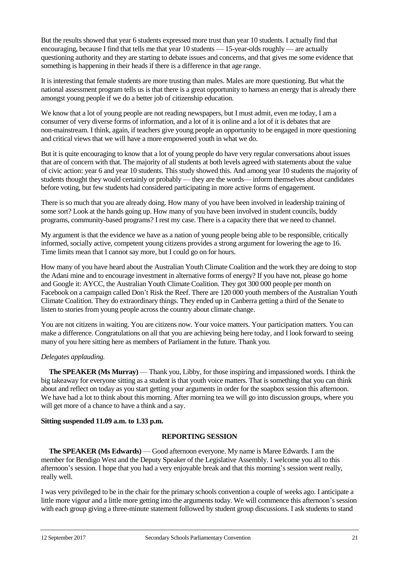But the results showed that year 6 students expressed more trust than year 10 students. I actually find that encouraging, because I find that tells me that year 10 students — 15-year-olds roughly — are actually questioning authority and they are starting to debate issues and concerns, and that gives me some evidence that something is happening in their heads if there is a difference in that age range.

It is interesting that female students are more trusting than males. Males are more questioning. But what the national assessment program tells us is that there is a great opportunity to harness an energy that is already there amongst young people if we do a better job of citizenship education.

We know that a lot of young people are not reading newspapers, but I must admit, even me today, I am a consumer of very diverse forms of information, and a lot of it is online and a lot of it is debates that are non-mainstream. I think, again, if teachers give young people an opportunity to be engaged in more questioning and critical views that we will have a more empowered youth in what we do.

But it is quite encouraging to know that a lot of young people do have very regular conversations about issues that are of concern with that. The majority of all students at both levels agreed with statements about the value of civic action: year 6 and year 10 students. This study showed this. And among year 10 students the majority of students thought they would certainly or probably — they are the words— inform themselves about candidates before voting, but few students had considered participating in more active forms of engagement.

There is so much that you are already doing. How many of you have been involved in leadership training of some sort? Look at the hands going up. How many of you have been involved in student councils, buddy programs, community-based programs? I rest my case. There is a capacity there that we need to channel.

My argument is that the evidence we have as a nation of young people being able to be responsible, critically informed, socially active, competent young citizens provides a strong argument for lowering the age to 16. Time limits mean that I cannot say more, but I could go on for hours.

How many of you have heard about the Australian Youth Climate Coalition and the work they are doing to stop the Adani mine and to encourage investment in alternative forms of energy? If you have not, please go home and Google it: AYCC, the Australian Youth Climate Coalition. They got 300 000 people per month on Facebook on a campaign called Don't Risk the Reef. There are 120 000 youth members of the Australian Youth Climate Coalition. They do extraordinary things. They ended up in Canberra getting a third of the Senate to listen to stories from young people across the country about climate change.

You are not citizens in waiting. You are citizens now. Your voice matters. Your participation matters. You can make a difference. Congratulations on all that you are achieving being here today, and I look forward to seeing many of you here sitting here as members of Parliament in the future. Thank you.

## *Delegates applauding.*

**The SPEAKER (Ms Murray)** — Thank you, Libby, for those inspiring and impassioned words. I think the big takeaway for everyone sitting as a student is that youth voice matters. That is something that you can think about and reflect on today as you start getting your arguments in order for the soapbox session this afternoon. We have had a lot to think about this morning. After morning tea we will go into discussion groups, where you will get more of a chance to have a think and a say.

#### **Sitting suspended 11.09 a.m. to 1.33 p.m.**

## **REPORTING SESSION**

**The SPEAKER (Ms Edwards)** — Good afternoon everyone. My name is Maree Edwards. I am the member for Bendigo West and the Deputy Speaker of the Legislative Assembly. I welcome you all to this afternoon's session. I hope that you had a very enjoyable break and that this morning's session went really, really well.

I was very privileged to be in the chair for the primary schools convention a couple of weeks ago. I anticipate a little more vigour and a little more getting into the arguments today. We will commence this afternoon's session with each group giving a three-minute statement followed by student group discussions. I ask students to stand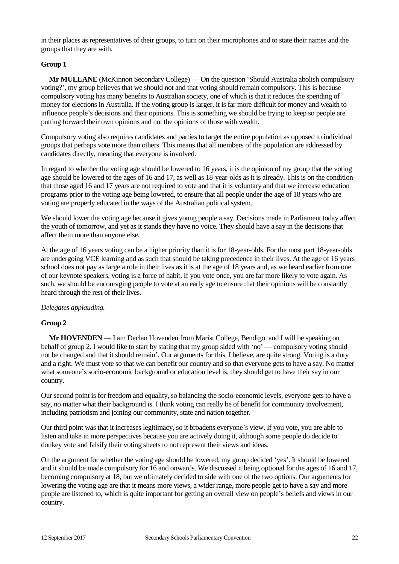in their places as representatives of their groups, to turn on their microphones and to state their names and the groups that they are with.

## **Group 1**

**Mr MULLANE** (McKinnon Secondary College) — On the question 'Should Australia abolish compulsory voting?', my group believes that we should not and that voting should remain compulsory. This is because compulsory voting has many benefits to Australian society, one of which is that it reduces the spending of money for elections in Australia. If the voting group is larger, it is far more difficult for money and wealth to influence people's decisions and their opinions. This is something we should be trying to keep so people are putting forward their own opinions and not the opinions of those with wealth.

Compulsory voting also requires candidates and parties to target the entire population as opposed to individual groups that perhaps vote more than others. This means that all members of the population are addressed by candidates directly, meaning that everyone is involved.

In regard to whether the voting age should be lowered to 16 years, it is the opinion of my group that the voting age should be lowered to the ages of 16 and 17, as well as 18-year-olds as it is already. This is on the condition that those aged 16 and 17 years are not required to vote and that it is voluntary and that we increase education programs prior to the voting age being lowered, to ensure that all people under the age of 18 years who are voting are properly educated in the ways of the Australian political system.

We should lower the voting age because it gives young people a say. Decisions made in Parliament today affect the youth of tomorrow, and yet as it stands they have no voice. They should have a say in the decisions that affect them more than anyone else.

At the age of 16 years voting can be a higher priority than it is for 18-year-olds. For the most part 18-year-olds are undergoing VCE learning and as such that should be taking precedence in their lives. At the age of 16 years school does not pay as large a role in their lives as it is at the age of 18 years and, as we heard earlier from one of our keynote speakers, voting is a force of habit. If you vote once, you are far more likely to vote again. As such, we should be encouraging people to vote at an early age to ensure that their opinions will be constantly heard through the rest of their lives.

*Delegates applauding.*

#### **Group 2**

**Mr HOVENDEN** — I am Declan Hovenden from Marist College, Bendigo, and I will be speaking on behalf of group 2. I would like to start by stating that my group sided with 'no' — compulsory voting should not be changed and that it should remain'. Our arguments for this, I believe, are quite strong. Voting is a duty and a right. We must vote so that we can benefit our country and so that everyone gets to have a say. No matter what someone's socio-economic background or education level is, they should get to have their say in our country.

Our second point is for freedom and equality, so balancing the socio-economic levels, everyone gets to have a say, no matter what their background is. I think voting can really be of benefit for community involvement, including patriotism and joining our community, state and nation together.

Our third point was that it increases legitimacy, so it broadens everyone's view. If you vote, you are able to listen and take in more perspectives because you are actively doing it, although some people do decide to donkey vote and falsify their voting sheets to not represent their views and ideas.

On the argument for whether the voting age should be lowered, my group decided 'yes'. It should be lowered and it should be made compulsory for 16 and onwards. We discussed it being optional for the ages of 16 and 17, becoming compulsory at 18, but we ultimately decided to side with one of the two options. Our arguments for lowering the voting age are that it means more views, a wider range, more people get to have a say and more people are listened to, which is quite important for getting an overall view on people's beliefs and views in our country.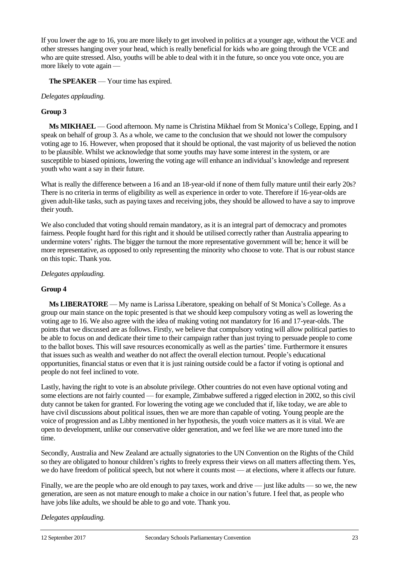If you lower the age to 16, you are more likely to get involved in politics at a younger age, without the VCE and other stresses hanging over your head, which is really beneficial for kids who are going through the VCE and who are quite stressed. Also, youths will be able to deal with it in the future, so once you vote once, you are more likely to vote again —

**The SPEAKER** — Your time has expired.

## *Delegates applauding.*

## **Group 3**

**Ms MIKHAEL** — Good afternoon. My name is Christina Mikhael from St Monica's College, Epping, and I speak on behalf of group 3. As a whole, we came to the conclusion that we should not lower the compulsory voting age to 16. However, when proposed that it should be optional, the vast majority of us believed the notion to be plausible. Whilst we acknowledge that some youths may have some interest in the system, or are susceptible to biased opinions, lowering the voting age will enhance an individual's knowledge and represent youth who want a say in their future.

What is really the difference between a 16 and an 18-year-old if none of them fully mature until their early 20s? There is no criteria in terms of eligibility as well as experience in order to vote. Therefore if 16-year-olds are given adult-like tasks, such as paying taxes and receiving jobs, they should be allowed to have a say to improve their youth.

We also concluded that voting should remain mandatory, as it is an integral part of democracy and promotes fairness. People fought hard for this right and it should be utilised correctly rather than Australia appearing to undermine voters' rights. The bigger the turnout the more representative government will be; hence it will be more representative, as opposed to only representing the minority who choose to vote. That is our robust stance on this topic. Thank you.

#### *Delegates applauding.*

#### **Group 4**

**Ms LIBERATORE** — My name is Larissa Liberatore, speaking on behalf of St Monica's College. As a group our main stance on the topic presented is that we should keep compulsory voting as well as lowering the voting age to 16. We also agree with the idea of making voting not mandatory for 16 and 17-year-olds. The points that we discussed are as follows. Firstly, we believe that compulsory voting will allow political parties to be able to focus on and dedicate their time to their campaign rather than just trying to persuade people to come to the ballot boxes. This will save resources economically as well as the parties' time. Furthermore it ensures that issues such as wealth and weather do not affect the overall election turnout. People's educational opportunities, financial status or even that it is just raining outside could be a factor if voting is optional and people do not feel inclined to vote.

Lastly, having the right to vote is an absolute privilege. Other countries do not even have optional voting and some elections are not fairly counted — for example, Zimbabwe suffered a rigged election in 2002, so this civil duty cannot be taken for granted. For lowering the voting age we concluded that if, like today, we are able to have civil discussions about political issues, then we are more than capable of voting. Young people are the voice of progression and as Libby mentioned in her hypothesis, the youth voice matters as it is vital. We are open to development, unlike our conservative older generation, and we feel like we are more tuned into the time.

Secondly, Australia and New Zealand are actually signatories to the UN Convention on the Rights of the Child so they are obligated to honour children's rights to freely express their views on all matters affecting them. Yes, we do have freedom of political speech, but not where it counts most — at elections, where it affects our future.

Finally, we are the people who are old enough to pay taxes, work and drive — just like adults — so we, the new generation, are seen as not mature enough to make a choice in our nation's future. I feel that, as people who have jobs like adults, we should be able to go and vote. Thank you.

*Delegates applauding.*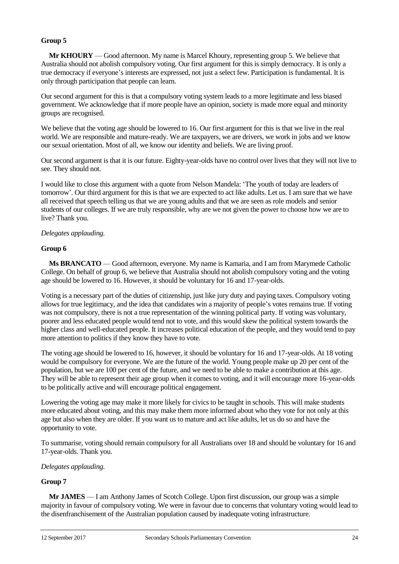## **Group 5**

**Mr KHOURY** — Good afternoon. My name is Marcel Khoury, representing group 5. We believe that Australia should not abolish compulsory voting. Our first argument for this is simply democracy. It is only a true democracy if everyone's interests are expressed, not just a select few. Participation is fundamental. It is only through participation that people can learn.

Our second argument for this is that a compulsory voting system leads to a more legitimate and less biased government. We acknowledge that if more people have an opinion, society is made more equal and minority groups are recognised.

We believe that the voting age should be lowered to 16. Our first argument for this is that we live in the real world. We are responsible and mature-ready. We are taxpayers, we are drivers, we work in jobs and we know our sexual orientation. Most of all, we know our identity and beliefs. We are living proof.

Our second argument is that it is our future. Eighty-year-olds have no control over lives that they will not live to see. They should not.

I would like to close this argument with a quote from Nelson Mandela: 'The youth of today are leaders of tomorrow'. Our third argument for this is that we are expected to act like adults. Let us. I am sure that we have all received that speech telling us that we are young adults and that we are seen as role models and senior students of our colleges. If we are truly responsible, why are we not given the power to choose how we are to live? Thank you.

## *Delegates applauding.*

## **Group 6**

**Ms BRANCATO** — Good afternoon, everyone. My name is Kamaria, and I am from Marymede Catholic College. On behalf of group 6, we believe that Australia should not abolish compulsory voting and the voting age should be lowered to 16. However, it should be voluntary for 16 and 17-year-olds.

Voting is a necessary part of the duties of citizenship, just like jury duty and paying taxes. Compulsory voting allows for true legitimacy, and the idea that candidates win a majority of people's votes remains true. If voting was not compulsory, there is not a true representation of the winning political party. If voting was voluntary, poorer and less educated people would tend not to vote, and this would skew the political system towards the higher class and well-educated people. It increases political education of the people, and they would tend to pay more attention to politics if they know they have to vote.

The voting age should be lowered to 16, however, it should be voluntary for 16 and 17-year-olds. At 18 voting would be compulsory for everyone. We are the future of the world. Young people make up 20 per cent of the population, but we are 100 per cent of the future, and we need to be able to make a contribution at this age. They will be able to represent their age group when it comes to voting, and it will encourage more 16-year-olds to be politically active and will encourage political engagement.

Lowering the voting age may make it more likely for civics to be taught in schools. This will make students more educated about voting, and this may make them more informed about who they vote for not only at this age but also when they are older. If you want us to mature and act like adults, let us do so and have the opportunity to vote.

To summarise, voting should remain compulsory for all Australians over 18 and should be voluntary for 16 and 17-year-olds. Thank you.

#### *Delegates applauding.*

#### **Group 7**

**Mr JAMES** — I am Anthony James of Scotch College. Upon first discussion, our group was a simple majority in favour of compulsory voting. We were in favour due to concerns that voluntary voting would lead to the disenfranchisement of the Australian population caused by inadequate voting infrastructure.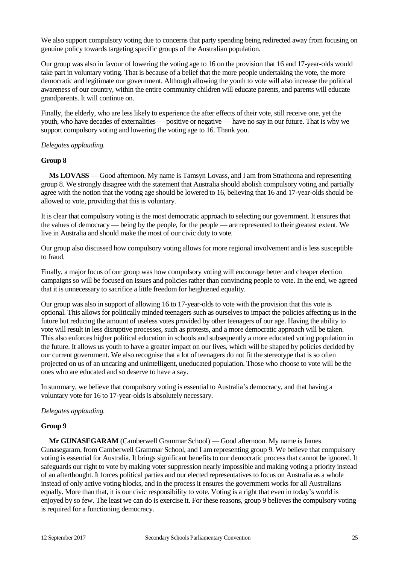We also support compulsory voting due to concerns that party spending being redirected away from focusing on genuine policy towards targeting specific groups of the Australian population.

Our group was also in favour of lowering the voting age to 16 on the provision that 16 and 17-year-olds would take part in voluntary voting. That is because of a belief that the more people undertaking the vote, the more democratic and legitimate our government. Although allowing the youth to vote will also increase the political awareness of our country, within the entire community children will educate parents, and parents will educate grandparents. It will continue on.

Finally, the elderly, who are less likely to experience the after effects of their vote, still receive one, yet the youth, who have decades of externalities — positive or negative — have no say in our future. That is why we support compulsory voting and lowering the voting age to 16. Thank you.

## *Delegates applauding.*

## **Group 8**

**Ms LOVASS** — Good afternoon. My name is Tamsyn Lovass, and I am from Strathcona and representing group 8. We strongly disagree with the statement that Australia should abolish compulsory voting and partially agree with the notion that the voting age should be lowered to 16, believing that 16 and 17-year-olds should be allowed to vote, providing that this is voluntary.

It is clear that compulsory voting is the most democratic approach to selecting our government. It ensures that the values of democracy — being by the people, for the people — are represented to their greatest extent. We live in Australia and should make the most of our civic duty to vote.

Our group also discussed how compulsory voting allows for more regional involvement and is less susceptible to fraud.

Finally, a major focus of our group was how compulsory voting will encourage better and cheaper election campaigns so will be focused on issues and policies rather than convincing people to vote. In the end, we agreed that it is unnecessary to sacrifice a little freedom for heightened equality.

Our group was also in support of allowing 16 to 17-year-olds to vote with the provision that this vote is optional. This allows for politically minded teenagers such as ourselves to impact the policies affecting us in the future but reducing the amount of useless votes provided by other teenagers of our age. Having the ability to vote will result in less disruptive processes, such as protests, and a more democratic approach will be taken. This also enforces higher political education in schools and subsequently a more educated voting population in the future. It allows us youth to have a greater impact on our lives, which will be shaped by policies decided by our current government. We also recognise that a lot of teenagers do not fit the stereotype that is so often projected on us of an uncaring and unintelligent, uneducated population. Those who choose to vote will be the ones who are educated and so deserve to have a say.

In summary, we believe that compulsory voting is essential to Australia's democracy, and that having a voluntary vote for 16 to 17-year-olds is absolutely necessary.

#### *Delegates applauding.*

#### **Group 9**

**Mr GUNASEGARAM** (Camberwell Grammar School) — Good afternoon. My name is James Gunasegaram, from Camberwell Grammar School, and I am representing group 9. We believe that compulsory voting is essential for Australia. It brings significant benefits to our democratic process that cannot be ignored. It safeguards our right to vote by making voter suppression nearly impossible and making voting a priority instead of an afterthought. It forces political parties and our elected representatives to focus on Australia as a whole instead of only active voting blocks, and in the process it ensures the government works for all Australians equally. More than that, it is our civic responsibility to vote. Voting is a right that even in today's world is enjoyed by so few. The least we can do is exercise it. For these reasons, group 9 believes the compulsory voting is required for a functioning democracy.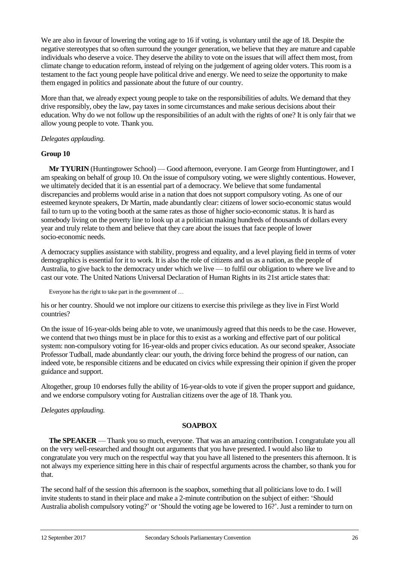We are also in favour of lowering the voting age to 16 if voting, is voluntary until the age of 18. Despite the negative stereotypes that so often surround the younger generation, we believe that they are mature and capable individuals who deserve a voice. They deserve the ability to vote on the issues that will affect them most, from climate change to education reform, instead of relying on the judgement of ageing older voters. This room is a testament to the fact young people have political drive and energy. We need to seize the opportunity to make them engaged in politics and passionate about the future of our country.

More than that, we already expect young people to take on the responsibilities of adults. We demand that they drive responsibly, obey the law, pay taxes in some circumstances and make serious decisions about their education. Why do we not follow up the responsibilities of an adult with the rights of one? It is only fair that we allow young people to vote. Thank you.

## *Delegates applauding.*

## **Group 10**

**Mr TYURIN** (Huntingtower School) — Good afternoon, everyone. I am George from Huntingtower, and I am speaking on behalf of group 10. On the issue of compulsory voting, we were slightly contentious. However, we ultimately decided that it is an essential part of a democracy. We believe that some fundamental discrepancies and problems would arise in a nation that does not support compulsory voting. As one of our esteemed keynote speakers, Dr Martin, made abundantly clear: citizens of lower socio-economic status would fail to turn up to the voting booth at the same rates as those of higher socio-economic status. It is hard as somebody living on the poverty line to look up at a politician making hundreds of thousands of dollars every year and truly relate to them and believe that they care about the issues that face people of lower socio-economic needs.

A democracy supplies assistance with stability, progress and equality, and a level playing field in terms of voter demographics is essential for it to work. It is also the role of citizens and us as a nation, as the people of Australia, to give back to the democracy under which we live — to fulfil our obligation to where we live and to cast our vote. The United Nations Universal Declaration of Human Rights in its 21st article states that:

Everyone has the right to take part in the government of …

his or her country. Should we not implore our citizens to exercise this privilege as they live in First World countries?

On the issue of 16-year-olds being able to vote, we unanimously agreed that this needs to be the case. However, we contend that two things must be in place for this to exist as a working and effective part of our political system: non-compulsory voting for 16-year-olds and proper civics education. As our second speaker, Associate Professor Tudball, made abundantly clear: our youth, the driving force behind the progress of our nation, can indeed vote, be responsible citizens and be educated on civics while expressing their opinion if given the proper guidance and support.

Altogether, group 10 endorses fully the ability of 16-year-olds to vote if given the proper support and guidance, and we endorse compulsory voting for Australian citizens over the age of 18. Thank you.

*Delegates applauding.*

## **SOAPBOX**

**The SPEAKER** — Thank you so much, everyone. That was an amazing contribution. I congratulate you all on the very well-researched and thought out arguments that you have presented. I would also like to congratulate you very much on the respectful way that you have all listened to the presenters this afternoon. It is not always my experience sitting here in this chair of respectful arguments across the chamber, so thank you for that.

The second half of the session this afternoon is the soapbox, something that all politicians love to do. I will invite students to stand in their place and make a 2-minute contribution on the subject of either: 'Should Australia abolish compulsory voting?' or 'Should the voting age be lowered to 16?'. Just a reminder to turn on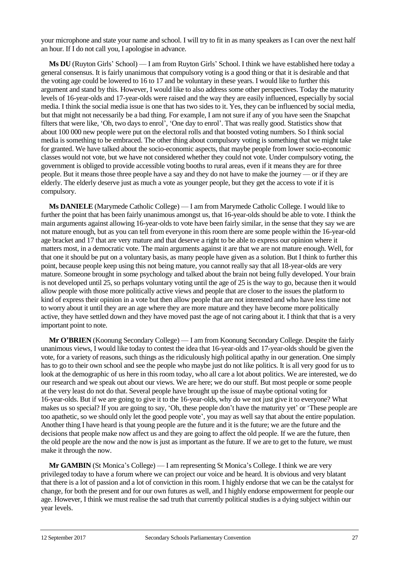your microphone and state your name and school. I will try to fit in as many speakers as I can over the next half an hour. If I do not call you, I apologise in advance.

**Ms DU** (Ruyton Girls' School) — I am from Ruyton Girls' School. I think we have established here today a general consensus. It is fairly unanimous that compulsory voting is a good thing or that it is desirable and that the voting age could be lowered to 16 to 17 and be voluntary in these years. I would like to further this argument and stand by this. However, I would like to also address some other perspectives. Today the maturity levels of 16-year-olds and 17-year-olds were raised and the way they are easily influenced, especially by social media. I think the social media issue is one that has two sides to it. Yes, they can be influenced by social media, but that might not necessarily be a bad thing. For example, I am not sure if any of you have seen the Snapchat filters that were like, 'Oh, two days to enrol', 'One day to enrol'. That was really good. Statistics show that about 100 000 new people were put on the electoral rolls and that boosted voting numbers. So I think social media is something to be embraced. The other thing about compulsory voting is something that we might take for granted. We have talked about the socio-economic aspects, that maybe people from lower socio-economic classes would not vote, but we have not considered whether they could not vote. Under compulsory voting, the government is obliged to provide accessible voting booths to rural areas, even if it means they are for three people. But it means those three people have a say and they do not have to make the journey — or if they are elderly. The elderly deserve just as much a vote as younger people, but they get the access to vote if it is compulsory.

**Ms DANIELE** (Marymede Catholic College) — I am from Marymede Catholic College. I would like to further the point that has been fairly unanimous amongst us, that 16-year-olds should be able to vote. I think the main arguments against allowing 16-year-olds to vote have been fairly similar, in the sense that they say we are not mature enough, but as you can tell from everyone in this room there are some people within the 16-year-old age bracket and 17 that are very mature and that deserve a right to be able to express our opinion where it matters most, in a democratic vote. The main arguments against it are that we are not mature enough. Well, for that one it should be put on a voluntary basis, as many people have given as a solution. But I think to further this point, because people keep using this not being mature, you cannot really say that all 18-year-olds are very mature. Someone brought in some psychology and talked about the brain not being fully developed. Your brain is not developed until 25, so perhaps voluntary voting until the age of 25 is the way to go, because then it would allow people with those more politically active views and people that are closer to the issues the platform to kind of express their opinion in a vote but then allow people that are not interested and who have less time not to worry about it until they are an age where they are more mature and they have become more politically active, they have settled down and they have moved past the age of not caring about it. I think that that is a very important point to note.

**Mr O'BRIEN** (Koonung Secondary College) — I am from Koonung Secondary College. Despite the fairly unanimous views, I would like today to contest the idea that 16-year-olds and 17-year-olds should be given the vote, for a variety of reasons, such things as the ridiculously high political apathy in our generation. One simply has to go to their own school and see the people who maybe just do not like politics. It is all very good for us to look at the demographic of us here in this room today, who all care a lot about politics. We are interested, we do our research and we speak out about our views. We are here; we do our stuff. But most people or some people at the very least do not do that. Several people have brought up the issue of maybe optional voting for 16-year-olds. But if we are going to give it to the 16-year-olds, why do we not just give it to everyone? What makes us so special? If you are going to say, 'Oh, these people don't have the maturity yet' or 'These people are too apathetic, so we should only let the good people vote', you may as well say that about the entire population. Another thing I have heard is that young people are the future and it is the future; we are the future and the decisions that people make now affect us and they are going to affect the old people. If we are the future, then the old people are the now and the now is just as important as the future. If we are to get to the future, we must make it through the now.

**Mr GAMBIN** (St Monica's College) — I am representing St Monica's College. I think we are very privileged today to have a forum where we can project our voice and be heard. It is obvious and very blatant that there is a lot of passion and a lot of conviction in this room. I highly endorse that we can be the catalyst for change, for both the present and for our own futures as well, and I highly endorse empowerment for people our age. However, I think we must realise the sad truth that currently political studies is a dying subject within our year levels.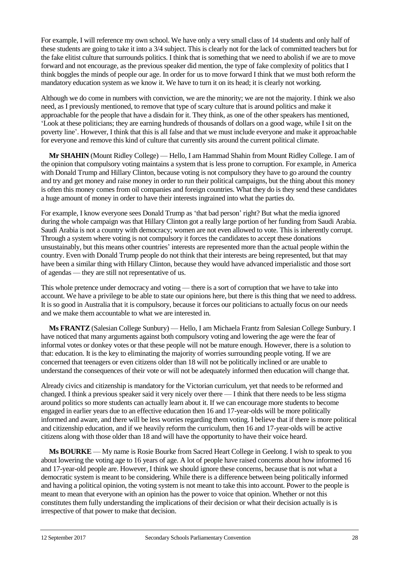For example, I will reference my own school. We have only a very small class of 14 students and only half of these students are going to take it into a 3/4 subject. This is clearly not for the lack of committed teachers but for the fake elitist culture that surrounds politics. I think that is something that we need to abolish if we are to move forward and not encourage, as the previous speaker did mention, the type of fake complexity of politics that I think boggles the minds of people our age. In order for us to move forward I think that we must both reform the mandatory education system as we know it. We have to turn it on its head; it is clearly not working.

Although we do come in numbers with conviction, we are the minority; we are not the majority. I think we also need, as I previously mentioned, to remove that type of scary culture that is around politics and make it approachable for the people that have a disdain for it. They think, as one of the other speakers has mentioned, 'Look at these politicians; they are earning hundreds of thousands of dollars on a good wage, while I sit on the poverty line'. However, I think that this is all false and that we must include everyone and make it approachable for everyone and remove this kind of culture that currently sits around the current political climate.

**Mr SHAHIN** (Mount Ridley College) — Hello, I am Hammad Shahin from Mount Ridley College. I am of the opinion that compulsory voting maintains a system that is less prone to corruption. For example, in America with Donald Trump and Hillary Clinton, because voting is not compulsory they have to go around the country and try and get money and raise money in order to run their political campaigns, but the thing about this money is often this money comes from oil companies and foreign countries. What they do is they send these candidates a huge amount of money in order to have their interests ingrained into what the parties do.

For example, I know everyone sees Donald Trump as 'that bad person' right? But what the media ignored during the whole campaign was that Hillary Clinton got a really large portion of her funding from Saudi Arabia. Saudi Arabia is not a country with democracy; women are not even allowed to vote. This is inherently corrupt. Through a system where voting is not compulsory it forces the candidates to accept these donations unsustainably, but this means other countries' interests are represented more than the actual people within the country. Even with Donald Trump people do not think that their interests are being represented, but that may have been a similar thing with Hillary Clinton, because they would have advanced imperialistic and those sort of agendas — they are still not representative of us.

This whole pretence under democracy and voting — there is a sort of corruption that we have to take into account. We have a privilege to be able to state our opinions here, but there is this thing that we need to address. It is so good in Australia that it is compulsory, because it forces our politicians to actually focus on our needs and we make them accountable to what we are interested in.

**Ms FRANTZ** (Salesian College Sunbury) — Hello, I am Michaela Frantz from Salesian College Sunbury. I have noticed that many arguments against both compulsory voting and lowering the age were the fear of informal votes or donkey votes or that these people will not be mature enough. However, there is a solution to that: education. It is the key to eliminating the majority of worries surrounding people voting. If we are concerned that teenagers or even citizens older than 18 will not be politically inclined or are unable to understand the consequences of their vote or will not be adequately informed then education will change that.

Already civics and citizenship is mandatory for the Victorian curriculum, yet that needs to be reformed and changed. I think a previous speaker said it very nicely over there — I think that there needs to be less stigma around politics so more students can actually learn about it. If we can encourage more students to become engaged in earlier years due to an effective education then 16 and 17-year-olds will be more politically informed and aware, and there will be less worries regarding them voting. I believe that if there is more political and citizenship education, and if we heavily reform the curriculum, then 16 and 17-year-olds will be active citizens along with those older than 18 and will have the opportunity to have their voice heard.

**Ms BOURKE** — My name is Rosie Bourke from Sacred Heart College in Geelong. I wish to speak to you about lowering the voting age to 16 years of age. A lot of people have raised concerns about how informed 16 and 17-year-old people are. However, I think we should ignore these concerns, because that is not what a democratic system is meant to be considering. While there is a difference between being politically informed and having a political opinion, the voting system is not meant to take this into account. Power to the people is meant to mean that everyone with an opinion has the power to voice that opinion. Whether or not this constitutes them fully understanding the implications of their decision or what their decision actually is is irrespective of that power to make that decision.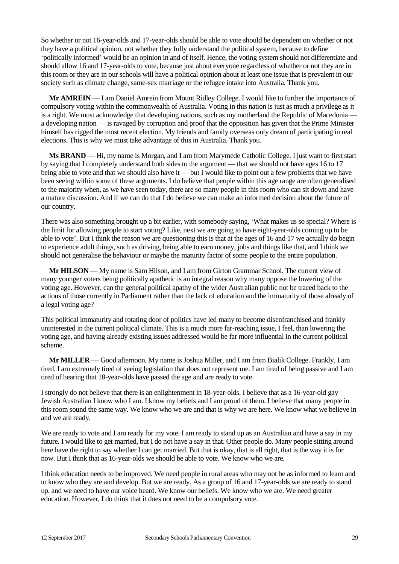So whether or not 16-year-olds and 17-year-olds should be able to vote should be dependent on whether or not they have a political opinion, not whether they fully understand the political system, because to define 'politically informed' would be an opinion in and of itself. Hence, the voting system should not differentiate and should allow 16 and 17-year-olds to vote, because just about everyone regardless of whether or not they are in this room or they are in our schools will have a political opinion about at least one issue that is prevalent in our society such as climate change, same-sex marriage or the refugee intake into Australia. Thank you.

**Mr AMREIN** — I am Daniel Amrein from Mount Ridley College. I would like to further the importance of compulsory voting within the commonwealth of Australia. Voting in this nation is just as much a privilege as it is a right. We must acknowledge that developing nations, such as my motherland the Republic of Macedonia a developing nation — is ravaged by corruption and proof that the opposition has given that the Prime Minister himself has rigged the most recent election. My friends and family overseas only dream of participating in real elections. This is why we must take advantage of this in Australia. Thank you.

**Ms BRAND** — Hi, my name is Morgan, and I am from Marymede Catholic College. I just want to first start by saying that I completely understand both sides to the argument — that we should not have ages 16 to 17 being able to vote and that we should also have it — but I would like to point out a few problems that we have been seeing within some of these arguments. I do believe that people within this age range are often generalised to the majority when, as we have seen today, there are so many people in this room who can sit down and have a mature discussion. And if we can do that I do believe we can make an informed decision about the future of our country.

There was also something brought up a bit earlier, with somebody saying, 'What makes us so special? Where is the limit for allowing people to start voting? Like, next we are going to have eight-year-olds coming up to be able to vote'. But I think the reason we are questioning this is that at the ages of 16 and 17 we actually do begin to experience adult things, such as driving, being able to earn money, jobs and things like that, and I think we should not generalise the behaviour or maybe the maturity factor of some people to the entire population.

**Mr HILSON** — My name is Sam Hilson, and I am from Girton Grammar School. The current view of many younger voters being politically apathetic is an integral reason why many oppose the lowering of the voting age. However, can the general political apathy of the wider Australian public not be traced back to the actions of those currently in Parliament rather than the lack of education and the immaturity of those already of a legal voting age?

This political immaturity and rotating door of politics have led many to become disenfranchised and frankly uninterested in the current political climate. This is a much more far-reaching issue, I feel, than lowering the voting age, and having already existing issues addressed would be far more influential in the current political scheme.

**Mr MILLER** — Good afternoon. My name is Joshua Miller, and I am from Bialik College. Frankly, I am tired. I am extremely tired of seeing legislation that does not represent me. I am tired of being passive and I am tired of hearing that 18-year-olds have passed the age and are ready to vote.

I strongly do not believe that there is an enlightenment in 18-year-olds. I believe that as a 16-year-old gay Jewish Australian I know who I am. I know my beliefs and I am proud of them. I believe that many people in this room sound the same way. We know who we are and that is why we are here. We know what we believe in and we are ready.

We are ready to vote and I am ready for my vote. I am ready to stand up as an Australian and have a say in my future. I would like to get married, but I do not have a say in that. Other people do. Many people sitting around here have the right to say whether I can get married. But that is okay, that is all right, that is the way it is for now. But I think that as 16-year-olds we should be able to vote. We know who we are.

I think education needs to be improved. We need people in rural areas who may not be as informed to learn and to know who they are and develop. But we are ready. As a group of 16 and 17-year-olds we are ready to stand up, and we need to have our voice heard. We know our beliefs. We know who we are. We need greater education. However, I do think that it does not need to be a compulsory vote.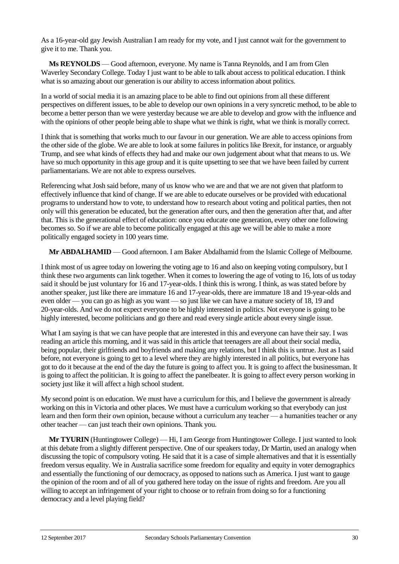As a 16-year-old gay Jewish Australian I am ready for my vote, and I just cannot wait for the government to give it to me. Thank you.

**Ms REYNOLDS** — Good afternoon, everyone. My name is Tanna Reynolds, and I am from Glen Waverley Secondary College. Today I just want to be able to talk about access to political education. I think what is so amazing about our generation is our ability to access information about politics.

In a world of social media it is an amazing place to be able to find out opinions from all these different perspectives on different issues, to be able to develop our own opinions in a very syncretic method, to be able to become a better person than we were yesterday because we are able to develop and grow with the influence and with the opinions of other people being able to shape what we think is right, what we think is morally correct.

I think that is something that works much to our favour in our generation. We are able to access opinions from the other side of the globe. We are able to look at some failures in politics like Brexit, for instance, or arguably Trump, and see what kinds of effects they had and make our own judgement about what that means to us. We have so much opportunity in this age group and it is quite upsetting to see that we have been failed by current parliamentarians. We are not able to express ourselves.

Referencing what Josh said before, many of us know who we are and that we are not given that platform to effectively influence that kind of change. If we are able to educate ourselves or be provided with educational programs to understand how to vote, to understand how to research about voting and political parties, then not only will this generation be educated, but the generation after ours, and then the generation after that, and after that. This is the generational effect of education: once you educate one generation, every other one following becomes so. So if we are able to become politically engaged at this age we will be able to make a more politically engaged society in 100 years time.

**Mr ABDALHAMID** — Good afternoon. I am Baker Abdalhamid from the Islamic College of Melbourne.

I think most of us agree today on lowering the voting age to 16 and also on keeping voting compulsory, but I think these two arguments can link together. When it comes to lowering the age of voting to 16, lots of us today said it should be just voluntary for 16 and 17-year-olds. I think this is wrong. I think, as was stated before by another speaker, just like there are immature 16 and 17-year-olds, there are immature 18 and 19-year-olds and even older — you can go as high as you want — so just like we can have a mature society of 18, 19 and 20-year-olds. And we do not expect everyone to be highly interested in politics. Not everyone is going to be highly interested, become politicians and go there and read every single article about every single issue.

What I am saying is that we can have people that are interested in this and everyone can have their say. I was reading an article this morning, and it was said in this article that teenagers are all about their social media, being popular, their girlfriends and boyfriends and making any relations, but I think this is untrue. Just as I said before, not everyone is going to get to a level where they are highly interested in all politics, but everyone has got to do it because at the end of the day the future is going to affect you. It is going to affect the businessman. It is going to affect the politician. It is going to affect the panelbeater. It is going to affect every person working in society just like it will affect a high school student.

My second point is on education. We must have a curriculum for this, and I believe the government is already working on this in Victoria and other places. We must have a curriculum working so that everybody can just learn and then form their own opinion, because without a curriculum any teacher — a humanities teacher or any other teacher — can just teach their own opinions. Thank you.

**Mr TYURIN** (Huntingtower College) — Hi, I am George from Huntingtower College. I just wanted to look at this debate from a slightly different perspective. One of our speakers today, Dr Martin, used an analogy when discussing the topic of compulsory voting. He said that it is a case of simple alternatives and that it is essentially freedom versus equality. We in Australia sacrifice some freedom for equality and equity in voter demographics and essentially the functioning of our democracy, as opposed to nations such as America. I just want to gauge the opinion of the room and of all of you gathered here today on the issue of rights and freedom. Are you all willing to accept an infringement of your right to choose or to refrain from doing so for a functioning democracy and a level playing field?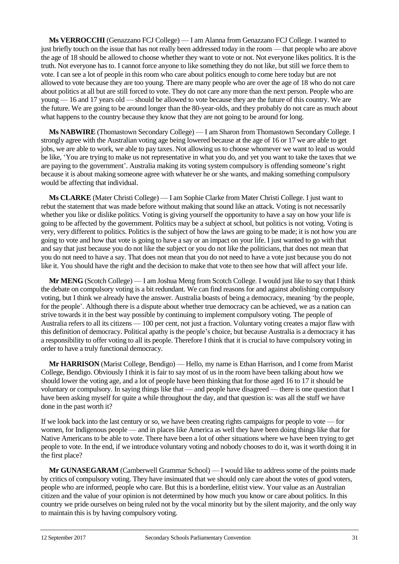**Ms VERROCCHI** (Genazzano FCJ College) — I am Alanna from Genazzano FCJ College. I wanted to just briefly touch on the issue that has not really been addressed today in the room — that people who are above the age of 18 should be allowed to choose whether they want to vote or not. Not everyone likes politics. It is the truth. Not everyone has to. I cannot force anyone to like something they do not like, but still we force them to vote. I can see a lot of people in this room who care about politics enough to come here today but are not allowed to vote because they are too young. There are many people who are over the age of 18 who do not care about politics at all but are still forced to vote. They do not care any more than the next person. People who are young — 16 and 17 years old — should be allowed to vote because they are the future of this country. We are the future. We are going to be around longer than the 80-year-olds, and they probably do not care as much about what happens to the country because they know that they are not going to be around for long.

**Ms NABWIRE** (Thomastown Secondary College) — I am Sharon from Thomastown Secondary College. I strongly agree with the Australian voting age being lowered because at the age of 16 or 17 we are able to get jobs, we are able to work, we able to pay taxes. Not allowing us to choose whomever we want to lead us would be like, 'You are trying to make us not representative in what you do, and yet you want to take the taxes that we are paying to the government'. Australia making its voting system compulsory is offending someone's right because it is about making someone agree with whatever he or she wants, and making something compulsory would be affecting that individual.

**Ms CLARKE** (Mater Christi College) — I am Sophie Clarke from Mater Christi College. I just want to rebut the statement that was made before without making that sound like an attack. Voting is not necessarily whether you like or dislike politics. Voting is giving yourself the opportunity to have a say on how your life is going to be affected by the government. Politics may be a subject at school, but politics is not voting. Voting is very, very different to politics. Politics is the subject of how the laws are going to be made; it is not how you are going to vote and how that vote is going to have a say or an impact on your life. I just wanted to go with that and say that just because you do not like the subject or you do not like the politicians, that does not mean that you do not need to have a say. That does not mean that you do not need to have a vote just because you do not like it. You should have the right and the decision to make that vote to then see how that will affect your life.

**Mr MENG** (Scotch College) — I am Joshua Meng from Scotch College. I would just like to say that I think the debate on compulsory voting is a bit redundant. We can find reasons for and against abolishing compulsory voting, but I think we already have the answer. Australia boasts of being a democracy, meaning 'by the people, for the people'. Although there is a dispute about whether true democracy can be achieved, we as a nation can strive towards it in the best way possible by continuing to implement compulsory voting. The people of Australia refers to all its citizens — 100 per cent, not just a fraction. Voluntary voting creates a major flaw with this definition of democracy. Political apathy is the people's choice, but because Australia is a democracy it has a responsibility to offer voting to all its people. Therefore I think that it is crucial to have compulsory voting in order to have a truly functional democracy.

**Mr HARRISON** (Marist College, Bendigo) — Hello, my name is Ethan Harrison, and I come from Marist College, Bendigo. Obviously I think it is fair to say most of us in the room have been talking about how we should lower the voting age, and a lot of people have been thinking that for those aged 16 to 17 it should be voluntary or compulsory. In saying things like that — and people have disagreed — there is one question that I have been asking myself for quite a while throughout the day, and that question is: was all the stuff we have done in the past worth it?

If we look back into the last century or so, we have been creating rights campaigns for people to vote — for women, for Indigenous people — and in places like America as well they have been doing things like that for Native Americans to be able to vote. There have been a lot of other situations where we have been trying to get people to vote. In the end, if we introduce voluntary voting and nobody chooses to do it, was it worth doing it in the first place?

**Mr GUNASEGARAM** (Camberwell Grammar School) — I would like to address some of the points made by critics of compulsory voting. They have insinuated that we should only care about the votes of good voters, people who are informed, people who care. But this is a borderline, elitist view. Your value as an Australian citizen and the value of your opinion is not determined by how much you know or care about politics. In this country we pride ourselves on being ruled not by the vocal minority but by the silent majority, and the only way to maintain this is by having compulsory voting.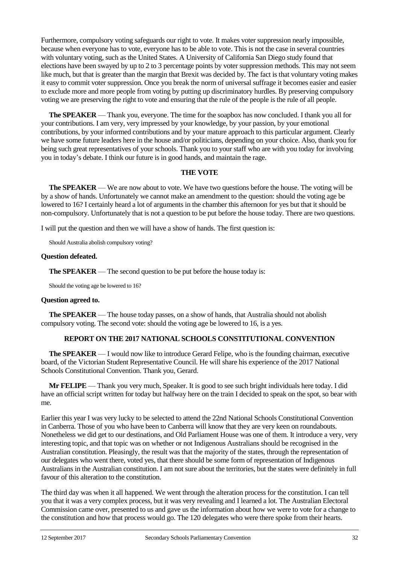Furthermore, compulsory voting safeguards our right to vote. It makes voter suppression nearly impossible, because when everyone has to vote, everyone has to be able to vote. This is not the case in several countries with voluntary voting, such as the United States. A University of California San Diego study found that elections have been swayed by up to 2 to 3 percentage points by voter suppression methods. This may not seem like much, but that is greater than the margin that Brexit was decided by. The fact is that voluntary voting makes it easy to commit voter suppression. Once you break the norm of universal suffrage it becomes easier and easier to exclude more and more people from voting by putting up discriminatory hurdles. By preserving compulsory voting we are preserving the right to vote and ensuring that the rule of the people is the rule of all people.

**The SPEAKER** — Thank you, everyone. The time for the soapbox has now concluded. I thank you all for your contributions. I am very, very impressed by your knowledge, by your passion, by your emotional contributions, by your informed contributions and by your mature approach to this particular argument. Clearly we have some future leaders here in the house and/or politicians, depending on your choice. Also, thank you for being such great representatives of your schools. Thank you to your staff who are with you today for involving you in today's debate. I think our future is in good hands, and maintain the rage.

## **THE VOTE**

**The SPEAKER** — We are now about to vote. We have two questions before the house. The voting will be by a show of hands. Unfortunately we cannot make an amendment to the question: should the voting age be lowered to 16? I certainly heard a lot of arguments in the chamber this afternoon for yes but that it should be non-compulsory. Unfortunately that is not a question to be put before the house today. There are two questions.

I will put the question and then we will have a show of hands. The first question is:

Should Australia abolish compulsory voting?

#### **Question defeated.**

**The SPEAKER** — The second question to be put before the house today is:

Should the voting age be lowered to 16?

#### **Question agreed to.**

**The SPEAKER** — The house today passes, on a show of hands, that Australia should not abolish compulsory voting. The second vote: should the voting age be lowered to 16, is a yes.

## **REPORT ON THE 2017 NATIONAL SCHOOLS CONSTITUTIONAL CONVENTION**

**The SPEAKER** — I would now like to introduce Gerard Felipe, who is the founding chairman, executive board, of the Victorian Student Representative Council. He will share his experience of the 2017 National Schools Constitutional Convention. Thank you, Gerard.

**Mr FELIPE** — Thank you very much, Speaker. It is good to see such bright individuals here today. I did have an official script written for today but halfway here on the train I decided to speak on the spot, so bear with me.

Earlier this year I was very lucky to be selected to attend the 22nd National Schools Constitutional Convention in Canberra. Those of you who have been to Canberra will know that they are very keen on roundabouts. Nonetheless we did get to our destinations, and Old Parliament House was one of them. It introduce a very, very interesting topic, and that topic was on whether or not Indigenous Australians should be recognised in the Australian constitution. Pleasingly, the result was that the majority of the states, through the representation of our delegates who went there, voted yes, that there should be some form of representation of Indigenous Australians in the Australian constitution. I am not sure about the territories, but the states were definitely in full favour of this alteration to the constitution.

The third day was when it all happened. We went through the alteration process for the constitution. I can tell you that it was a very complex process, but it was very revealing and I learned a lot. The Australian Electoral Commission came over, presented to us and gave us the information about how we were to vote for a change to the constitution and how that process would go. The 120 delegates who were there spoke from their hearts.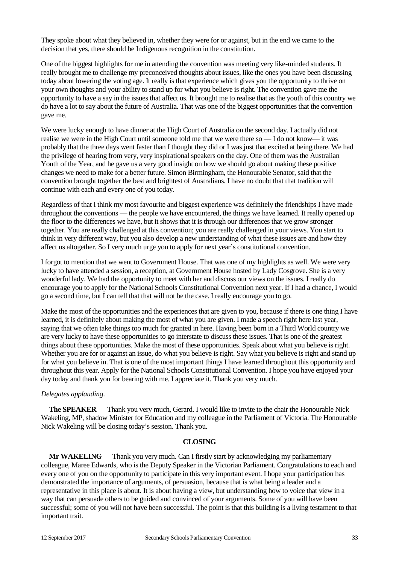They spoke about what they believed in, whether they were for or against, but in the end we came to the decision that yes, there should be Indigenous recognition in the constitution.

One of the biggest highlights for me in attending the convention was meeting very like-minded students. It really brought me to challenge my preconceived thoughts about issues, like the ones you have been discussing today about lowering the voting age. It really is that experience which gives you the opportunity to thrive on your own thoughts and your ability to stand up for what you believe is right. The convention gave me the opportunity to have a say in the issues that affect us. It brought me to realise that as the youth of this country we do have a lot to say about the future of Australia. That was one of the biggest opportunities that the convention gave me.

We were lucky enough to have dinner at the High Court of Australia on the second day. I actually did not realise we were in the High Court until someone told me that we were there so — I do not know— it was probably that the three days went faster than I thought they did or I was just that excited at being there. We had the privilege of hearing from very, very inspirational speakers on the day. One of them was the Australian Youth of the Year, and he gave us a very good insight on how we should go about making these positive changes we need to make for a better future. Simon Birmingham, the Honourable Senator, said that the convention brought together the best and brightest of Australians. I have no doubt that that tradition will continue with each and every one of you today.

Regardless of that I think my most favourite and biggest experience was definitely the friendships I have made throughout the conventions — the people we have encountered, the things we have learned. It really opened up the floor to the differences we have, but it shows that it is through our differences that we grow stronger together. You are really challenged at this convention; you are really challenged in your views. You start to think in very different way, but you also develop a new understanding of what these issues are and how they affect us altogether. So I very much urge you to apply for next year's constitutional convention.

I forgot to mention that we went to Government House. That was one of my highlights as well. We were very lucky to have attended a session, a reception, at Government House hosted by Lady Cosgrove. She is a very wonderful lady. We had the opportunity to meet with her and discuss our views on the issues. I really do encourage you to apply for the National Schools Constitutional Convention next year. If I had a chance, I would go a second time, but I can tell that that will not be the case. I really encourage you to go.

Make the most of the opportunities and the experiences that are given to you, because if there is one thing I have learned, it is definitely about making the most of what you are given. I made a speech right here last year, saying that we often take things too much for granted in here. Having been born in a Third World country we are very lucky to have these opportunities to go interstate to discuss these issues. That is one of the greatest things about these opportunities. Make the most of these opportunities. Speak about what you believe is right. Whether you are for or against an issue, do what you believe is right. Say what you believe is right and stand up for what you believe in. That is one of the most important things I have learned throughout this opportunity and throughout this year. Apply for the National Schools Constitutional Convention. I hope you have enjoyed your day today and thank you for bearing with me. I appreciate it. Thank you very much.

## *Delegates applauding*.

**The SPEAKER** — Thank you very much, Gerard. I would like to invite to the chair the Honourable Nick Wakeling, MP, shadow Minister for Education and my colleague in the Parliament of Victoria. The Honourable Nick Wakeling will be closing today's session. Thank you.

#### **CLOSING**

**Mr WAKELING** — Thank you very much. Can I firstly start by acknowledging my parliamentary colleague, Maree Edwards, who is the Deputy Speaker in the Victorian Parliament. Congratulations to each and every one of you on the opportunity to participate in this very important event. I hope your participation has demonstrated the importance of arguments, of persuasion, because that is what being a leader and a representative in this place is about. It is about having a view, but understanding how to voice that view in a way that can persuade others to be guided and convinced of your arguments. Some of you will have been successful; some of you will not have been successful. The point is that this building is a living testament to that important trait.